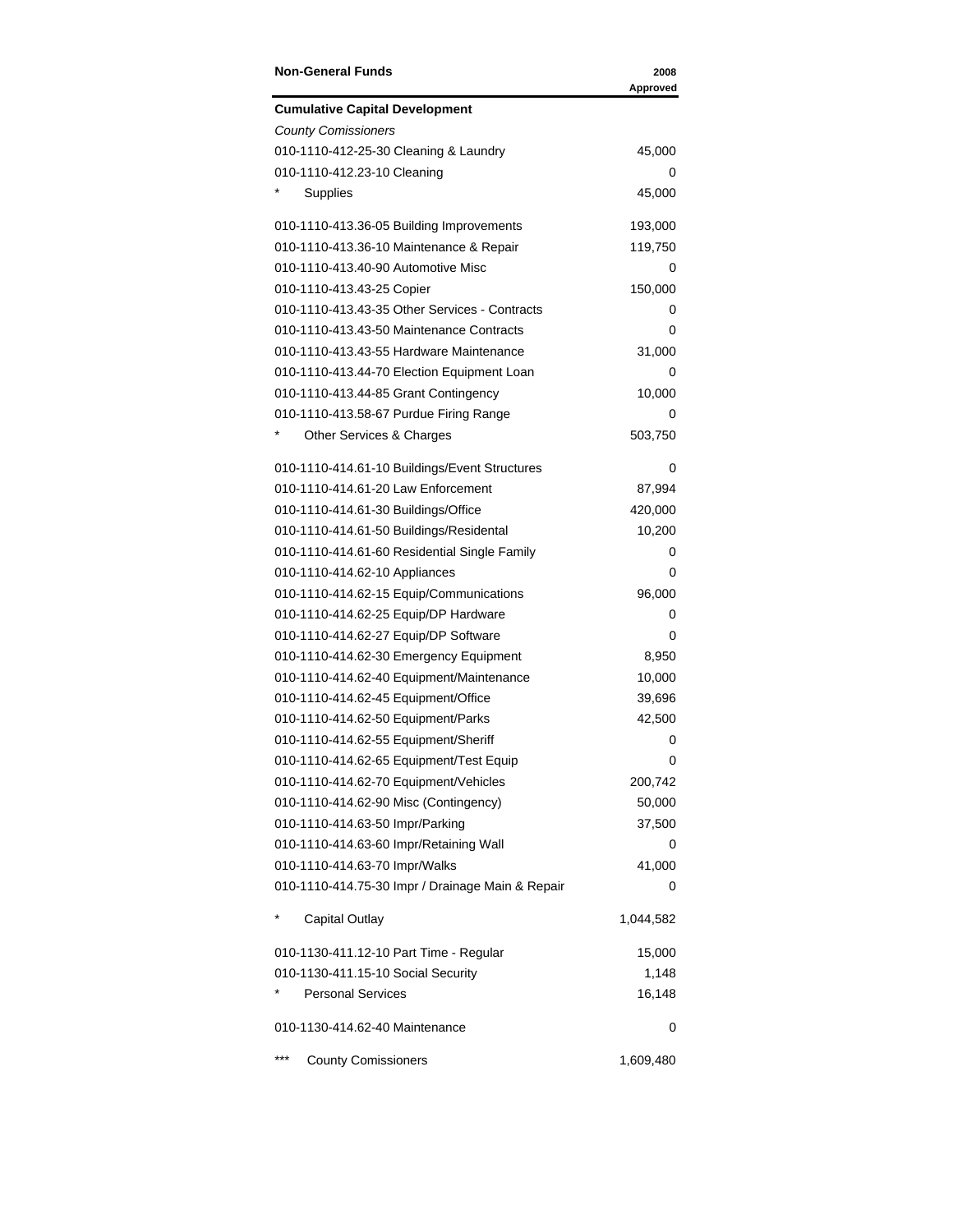| <b>Non-General Funds</b>                         | 2008<br>Approved |
|--------------------------------------------------|------------------|
| <b>Cumulative Capital Development</b>            |                  |
| <b>County Comissioners</b>                       |                  |
| 010-1110-412-25-30 Cleaning & Laundry            | 45,000           |
| 010-1110-412.23-10 Cleaning                      | 0                |
| Supplies                                         | 45,000           |
| 010-1110-413.36-05 Building Improvements         | 193,000          |
| 010-1110-413.36-10 Maintenance & Repair          | 119,750          |
| 010-1110-413.40-90 Automotive Misc               | 0                |
| 010-1110-413.43-25 Copier                        | 150,000          |
| 010-1110-413.43-35 Other Services - Contracts    | 0                |
| 010-1110-413.43-50 Maintenance Contracts         | 0                |
| 010-1110-413.43-55 Hardware Maintenance          | 31,000           |
| 010-1110-413.44-70 Election Equipment Loan       | 0                |
| 010-1110-413.44-85 Grant Contingency             | 10,000           |
| 010-1110-413.58-67 Purdue Firing Range           | 0                |
| Other Services & Charges                         | 503,750          |
| 010-1110-414.61-10 Buildings/Event Structures    | 0                |
| 010-1110-414.61-20 Law Enforcement               | 87,994           |
| 010-1110-414.61-30 Buildings/Office              | 420,000          |
| 010-1110-414.61-50 Buildings/Residental          | 10,200           |
| 010-1110-414.61-60 Residential Single Family     | 0                |
| 010-1110-414.62-10 Appliances                    | 0                |
| 010-1110-414.62-15 Equip/Communications          | 96,000           |
| 010-1110-414.62-25 Equip/DP Hardware             | 0                |
| 010-1110-414.62-27 Equip/DP Software             | 0                |
| 010-1110-414.62-30 Emergency Equipment           | 8,950            |
| 010-1110-414.62-40 Equipment/Maintenance         | 10,000           |
| 010-1110-414.62-45 Equipment/Office              | 39,696           |
| 010-1110-414.62-50 Equipment/Parks               | 42,500           |
| 010-1110-414.62-55 Equipment/Sheriff             | 0                |
| 010-1110-414.62-65 Equipment/Test Equip          | 0                |
| 010-1110-414.62-70 Equipment/Vehicles            | 200,742          |
| 010-1110-414.62-90 Misc (Contingency)            | 50,000           |
| 010-1110-414.63-50 Impr/Parking                  | 37,500           |
| 010-1110-414.63-60 Impr/Retaining Wall           | 0                |
| 010-1110-414.63-70 Impr/Walks                    | 41,000           |
| 010-1110-414.75-30 Impr / Drainage Main & Repair | 0                |
| <b>Capital Outlay</b>                            | 1,044,582        |
| 010-1130-411.12-10 Part Time - Regular           | 15,000           |
| 010-1130-411.15-10 Social Security               | 1,148            |
| <b>Personal Services</b>                         | 16,148           |
| 010-1130-414.62-40 Maintenance                   | 0                |
| ***<br><b>County Comissioners</b>                | 1,609,480        |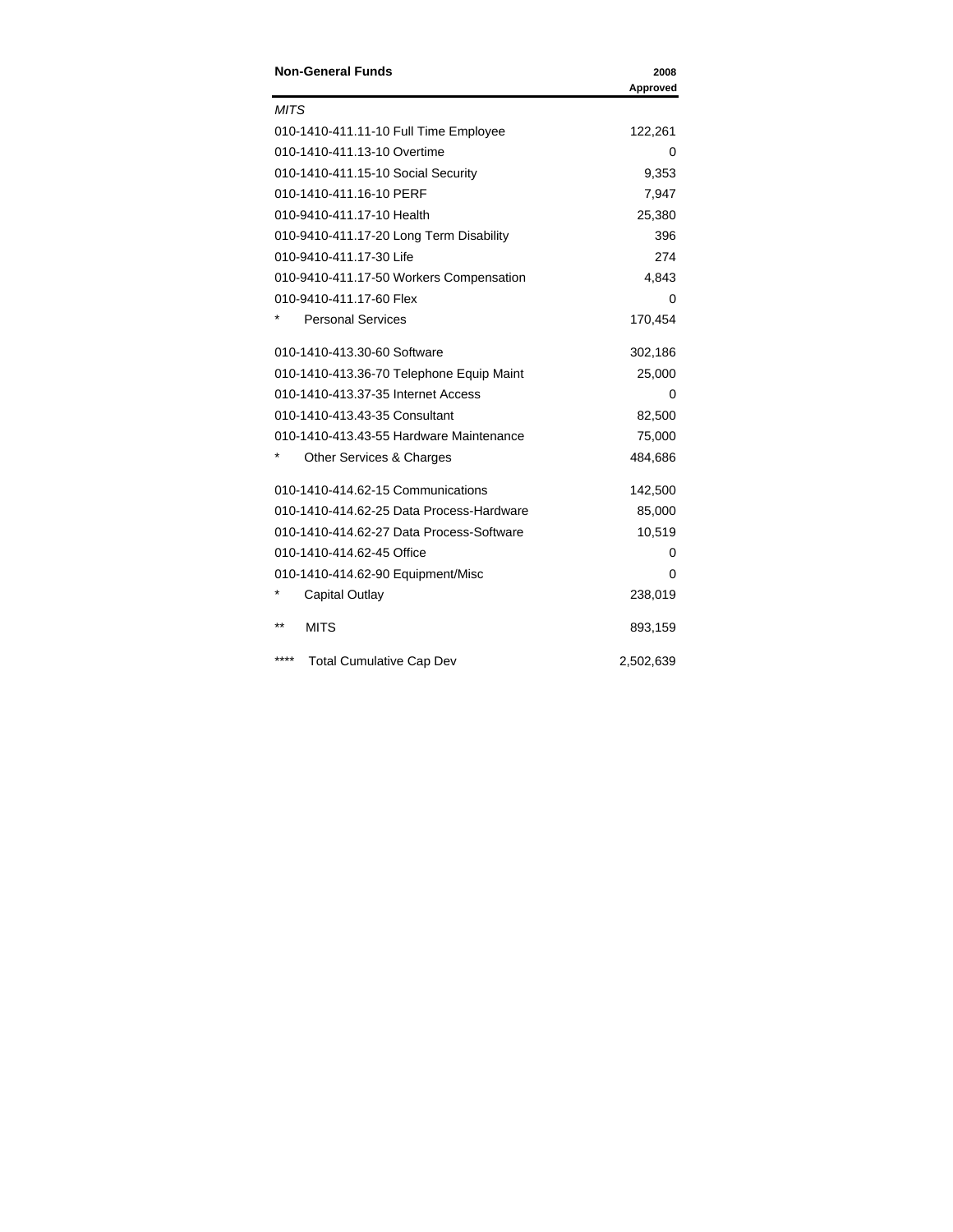| <b>Non-General Funds</b>                 | 2008<br>Approved |
|------------------------------------------|------------------|
| <b>MITS</b>                              |                  |
| 010-1410-411.11-10 Full Time Employee    | 122,261          |
| 010-1410-411.13-10 Overtime              | 0                |
| 010-1410-411.15-10 Social Security       | 9,353            |
| 010-1410-411.16-10 PERF                  | 7,947            |
| 010-9410-411.17-10 Health                | 25,380           |
| 010-9410-411.17-20 Long Term Disability  | 396              |
| 010-9410-411.17-30 Life                  | 274              |
| 010-9410-411.17-50 Workers Compensation  | 4,843            |
| 010-9410-411.17-60 Flex                  | 0                |
| <b>Personal Services</b>                 | 170,454          |
| 010-1410-413.30-60 Software              | 302,186          |
| 010-1410-413.36-70 Telephone Equip Maint | 25,000           |
| 010-1410-413.37-35 Internet Access       | 0                |
| 010-1410-413.43-35 Consultant            | 82,500           |
| 010-1410-413.43-55 Hardware Maintenance  | 75,000           |
| Other Services & Charges                 | 484,686          |
| 010-1410-414.62-15 Communications        | 142,500          |
| 010-1410-414.62-25 Data Process-Hardware | 85,000           |
| 010-1410-414.62-27 Data Process-Software | 10,519           |
| 010-1410-414.62-45 Office                | Ω                |
| 010-1410-414.62-90 Equipment/Misc        | 0                |
| Capital Outlay                           | 238,019          |
| $***$<br><b>MITS</b>                     | 893,159          |
| ****<br><b>Total Cumulative Cap Dev</b>  | 2,502,639        |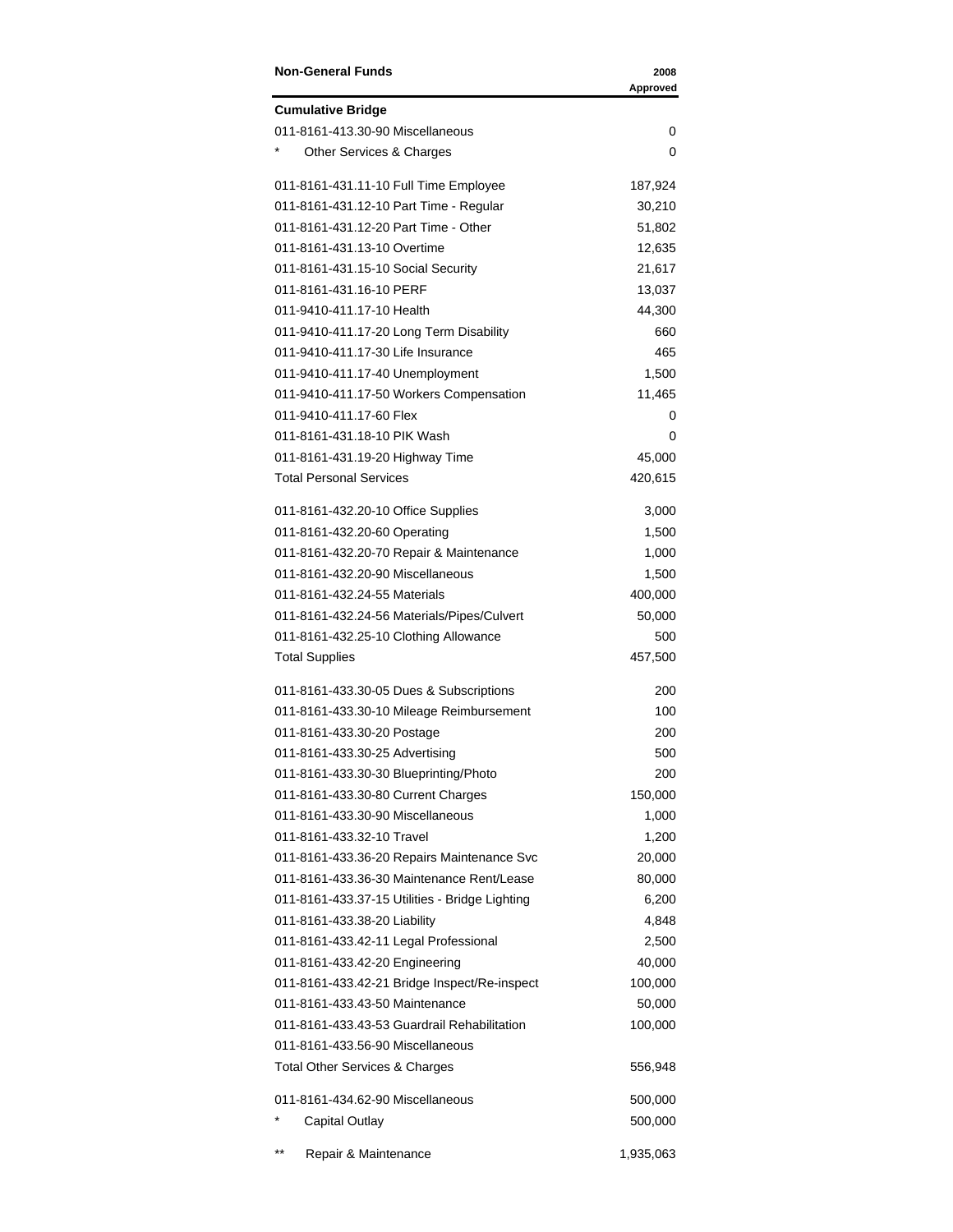| <b>Non-General Funds</b>                       | 2008<br>Approved |
|------------------------------------------------|------------------|
| <b>Cumulative Bridge</b>                       |                  |
| 011-8161-413.30-90 Miscellaneous               | 0                |
| Other Services & Charges                       | 0                |
| 011-8161-431.11-10 Full Time Employee          | 187,924          |
| 011-8161-431.12-10 Part Time - Regular         | 30,210           |
| 011-8161-431.12-20 Part Time - Other           | 51,802           |
| 011-8161-431.13-10 Overtime                    | 12,635           |
| 011-8161-431.15-10 Social Security             | 21,617           |
| 011-8161-431.16-10 PERF                        | 13,037           |
| 011-9410-411.17-10 Health                      | 44,300           |
| 011-9410-411.17-20 Long Term Disability        | 660              |
| 011-9410-411.17-30 Life Insurance              | 465              |
| 011-9410-411.17-40 Unemployment                | 1,500            |
| 011-9410-411.17-50 Workers Compensation        | 11,465           |
| 011-9410-411.17-60 Flex                        | 0                |
| 011-8161-431.18-10 PIK Wash                    | 0                |
| 011-8161-431.19-20 Highway Time                | 45,000           |
| <b>Total Personal Services</b>                 | 420,615          |
| 011-8161-432.20-10 Office Supplies             | 3,000            |
| 011-8161-432.20-60 Operating                   | 1,500            |
| 011-8161-432.20-70 Repair & Maintenance        | 1,000            |
| 011-8161-432.20-90 Miscellaneous               | 1,500            |
| 011-8161-432.24-55 Materials                   | 400,000          |
| 011-8161-432.24-56 Materials/Pipes/Culvert     | 50,000           |
| 011-8161-432.25-10 Clothing Allowance          | 500              |
| <b>Total Supplies</b>                          | 457,500          |
| 011-8161-433.30-05 Dues & Subscriptions        | 200              |
| 011-8161-433.30-10 Mileage Reimbursement       | 100              |
| 011-8161-433.30-20 Postage                     | 200              |
| 011-8161-433.30-25 Advertising                 | 500              |
| 011-8161-433.30-30 Blueprinting/Photo          | 200              |
| 011-8161-433.30-80 Current Charges             | 150,000          |
| 011-8161-433.30-90 Miscellaneous               | 1,000            |
| 011-8161-433.32-10 Travel                      | 1,200            |
| 011-8161-433.36-20 Repairs Maintenance Svc     | 20,000           |
| 011-8161-433.36-30 Maintenance Rent/Lease      | 80,000           |
| 011-8161-433.37-15 Utilities - Bridge Lighting | 6,200            |
| 011-8161-433.38-20 Liability                   | 4,848            |
| 011-8161-433.42-11 Legal Professional          | 2,500            |
| 011-8161-433.42-20 Engineering                 | 40,000           |
| 011-8161-433.42-21 Bridge Inspect/Re-inspect   | 100,000          |
| 011-8161-433.43-50 Maintenance                 | 50,000           |
| 011-8161-433.43-53 Guardrail Rehabilitation    | 100,000          |
| 011-8161-433.56-90 Miscellaneous               |                  |
| <b>Total Other Services &amp; Charges</b>      | 556,948          |
| 011-8161-434.62-90 Miscellaneous               | 500,000          |
| <b>Capital Outlay</b>                          | 500,000          |
| $***$<br>Repair & Maintenance                  | 1,935,063        |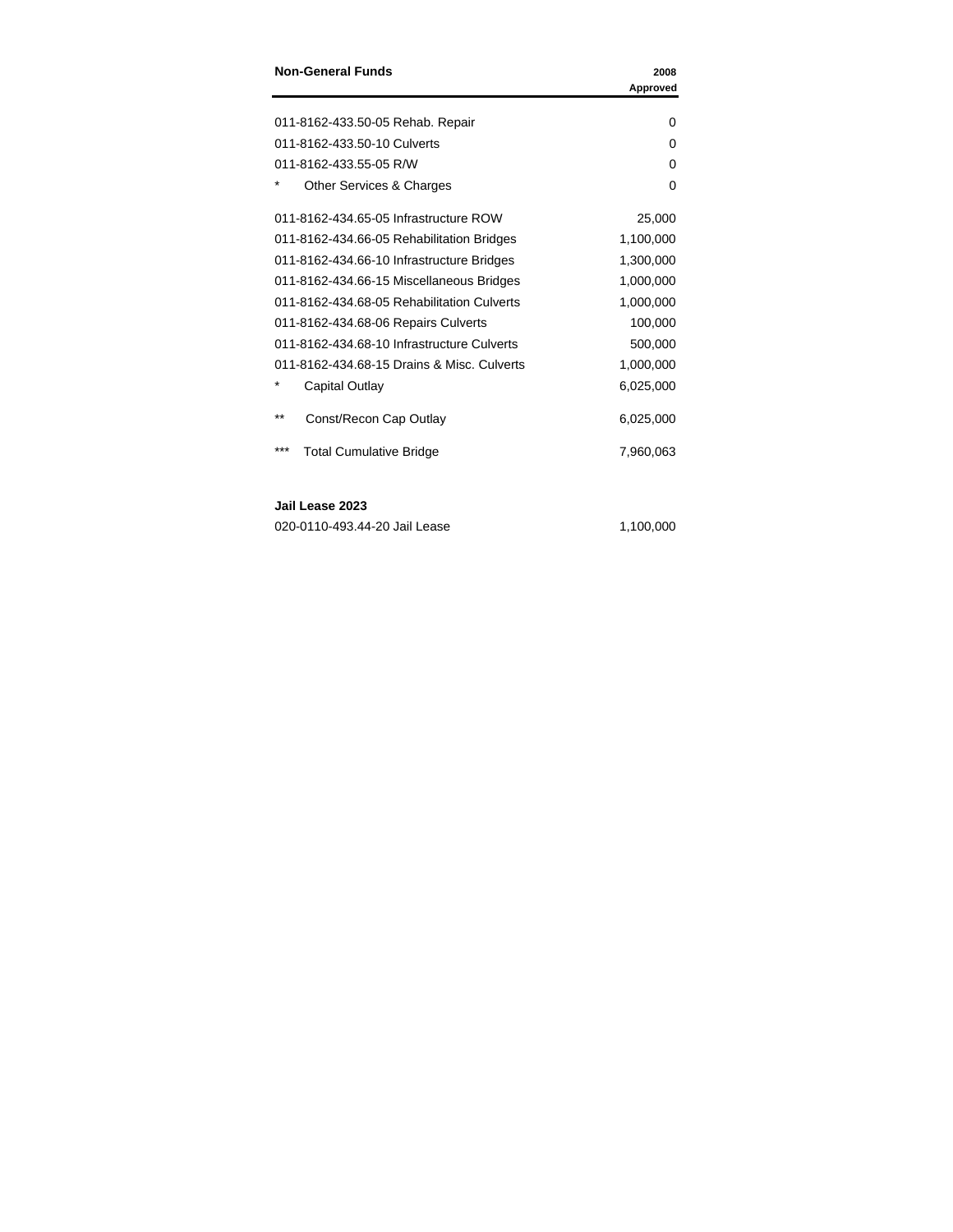| <b>Non-General Funds</b>                   | 2008<br>Approved |
|--------------------------------------------|------------------|
|                                            |                  |
| 011-8162-433.50-05 Rehab. Repair           | 0                |
| 011-8162-433.50-10 Culverts                | 0                |
| 011-8162-433.55-05 R/W                     | 0                |
| Other Services & Charges                   | 0                |
| 011-8162-434.65-05 Infrastructure ROW      | 25,000           |
| 011-8162-434.66-05 Rehabilitation Bridges  | 1,100,000        |
| 011-8162-434.66-10 Infrastructure Bridges  | 1,300,000        |
| 011-8162-434.66-15 Miscellaneous Bridges   | 1,000,000        |
| 011-8162-434.68-05 Rehabilitation Culverts | 1,000,000        |
| 011-8162-434.68-06 Repairs Culverts        | 100,000          |
| 011-8162-434.68-10 Infrastructure Culverts | 500,000          |
| 011-8162-434.68-15 Drains & Misc. Culverts | 1,000,000        |
| Capital Outlay                             | 6,025,000        |
| **<br>Const/Recon Cap Outlay               | 6,025,000        |
| ***<br><b>Total Cumulative Bridge</b>      | 7.960.063        |

### **Jail Lease 2023**

| 020-0110-493.44-20 Jail Lease | 1,100,000 |
|-------------------------------|-----------|
|                               |           |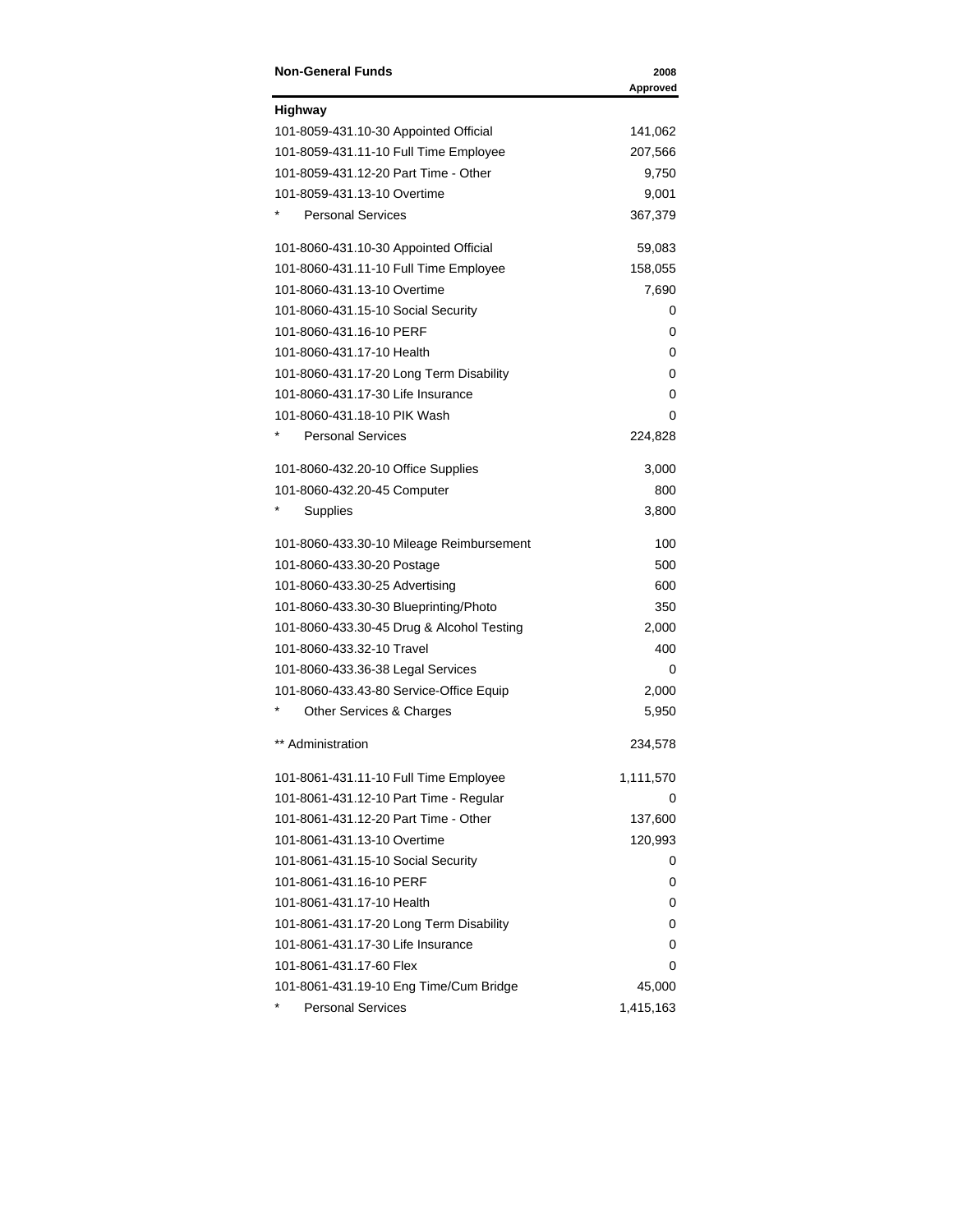| <b>Non-General Funds</b>                  | 2008<br>Approved |
|-------------------------------------------|------------------|
| <b>Highway</b>                            |                  |
| 101-8059-431.10-30 Appointed Official     | 141,062          |
| 101-8059-431.11-10 Full Time Employee     | 207,566          |
| 101-8059-431.12-20 Part Time - Other      | 9,750            |
| 101-8059-431.13-10 Overtime               | 9,001            |
| <b>Personal Services</b>                  | 367,379          |
| 101-8060-431.10-30 Appointed Official     | 59,083           |
| 101-8060-431.11-10 Full Time Employee     | 158,055          |
| 101-8060-431.13-10 Overtime               | 7,690            |
| 101-8060-431.15-10 Social Security        | 0                |
| 101-8060-431.16-10 PERF                   | 0                |
| 101-8060-431.17-10 Health                 | 0                |
| 101-8060-431.17-20 Long Term Disability   | 0                |
| 101-8060-431.17-30 Life Insurance         | 0                |
| 101-8060-431.18-10 PIK Wash               | 0                |
| <b>Personal Services</b>                  | 224,828          |
| 101-8060-432.20-10 Office Supplies        | 3,000            |
| 101-8060-432.20-45 Computer               | 800              |
| Supplies                                  | 3,800            |
| 101-8060-433.30-10 Mileage Reimbursement  | 100              |
| 101-8060-433.30-20 Postage                | 500              |
| 101-8060-433.30-25 Advertising            | 600              |
| 101-8060-433.30-30 Blueprinting/Photo     | 350              |
| 101-8060-433.30-45 Drug & Alcohol Testing | 2,000            |
| 101-8060-433.32-10 Travel                 | 400              |
| 101-8060-433.36-38 Legal Services         | 0                |
| 101-8060-433.43-80 Service-Office Equip   | 2,000            |
| Other Services & Charges                  | 5,950            |
| ** Administration                         | 234,578          |
| 101-8061-431.11-10 Full Time Employee     | 1,111,570        |
| 101-8061-431.12-10 Part Time - Regular    | 0                |
| 101-8061-431.12-20 Part Time - Other      | 137,600          |
| 101-8061-431.13-10 Overtime               | 120,993          |
| 101-8061-431.15-10 Social Security        | 0                |
| 101-8061-431.16-10 PERF                   | 0                |
| 101-8061-431.17-10 Health                 | 0                |
| 101-8061-431.17-20 Long Term Disability   | 0                |
| 101-8061-431.17-30 Life Insurance         | 0                |
| 101-8061-431.17-60 Flex                   | 0                |
| 101-8061-431.19-10 Eng Time/Cum Bridge    | 45,000           |
| <b>Personal Services</b>                  | 1,415,163        |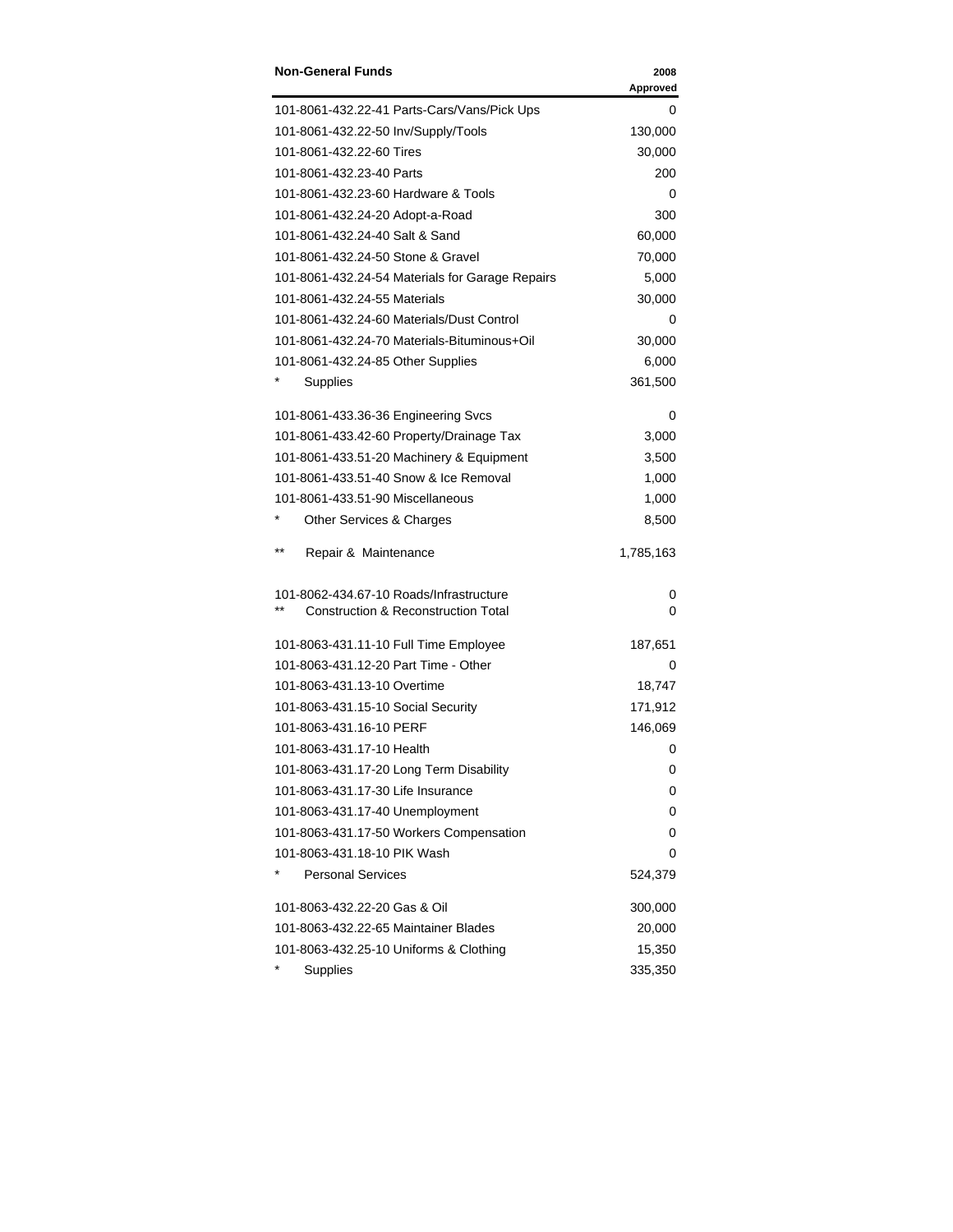| <b>Non-General Funds</b>                        | 2008<br>Approved |
|-------------------------------------------------|------------------|
| 101-8061-432.22-41 Parts-Cars/Vans/Pick Ups     | 0                |
| 101-8061-432.22-50 Inv/Supply/Tools             | 130,000          |
| 101-8061-432.22-60 Tires                        | 30,000           |
| 101-8061-432.23-40 Parts                        | 200              |
| 101-8061-432.23-60 Hardware & Tools             | 0                |
| 101-8061-432.24-20 Adopt-a-Road                 | 300              |
| 101-8061-432.24-40 Salt & Sand                  | 60,000           |
| 101-8061-432.24-50 Stone & Gravel               | 70,000           |
| 101-8061-432.24-54 Materials for Garage Repairs | 5,000            |
| 101-8061-432.24-55 Materials                    | 30,000           |
| 101-8061-432.24-60 Materials/Dust Control       | 0                |
| 101-8061-432.24-70 Materials-Bituminous+Oil     | 30,000           |
| 101-8061-432.24-85 Other Supplies               | 6,000            |
| Supplies                                        | 361,500          |
| 101-8061-433.36-36 Engineering Svcs             | 0                |
| 101-8061-433.42-60 Property/Drainage Tax        | 3,000            |
| 101-8061-433.51-20 Machinery & Equipment        | 3,500            |
| 101-8061-433.51-40 Snow & Ice Removal           | 1,000            |
| 101-8061-433.51-90 Miscellaneous                | 1,000            |
| Other Services & Charges                        | 8,500            |
| $***$<br>Repair & Maintenance                   | 1,785,163        |
| 101-8062-434.67-10 Roads/Infrastructure         | 0                |
| <b>Construction &amp; Reconstruction Total</b>  | 0                |
| 101-8063-431.11-10 Full Time Employee           | 187,651          |
| 101-8063-431.12-20 Part Time - Other            | 0                |
| 101-8063-431.13-10 Overtime                     | 18,747           |
| 101-8063-431.15-10 Social Security              | 171,912          |
| 101-8063-431.16-10 PERF                         | 146,069          |
| 101-8063-431.17-10 Health                       | 0                |
| 101-8063-431.17-20 Long Term Disability         | 0                |
| 101-8063-431.17-30 Life Insurance               | 0                |
| 101-8063-431.17-40 Unemployment                 | 0                |
| 101-8063-431.17-50 Workers Compensation         | 0                |
| 101-8063-431.18-10 PIK Wash                     | 0                |
| <b>Personal Services</b>                        | 524,379          |
| 101-8063-432.22-20 Gas & Oil                    | 300,000          |
| 101-8063-432.22-65 Maintainer Blades            | 20,000           |
| 101-8063-432.25-10 Uniforms & Clothing          | 15,350           |
| Supplies                                        | 335,350          |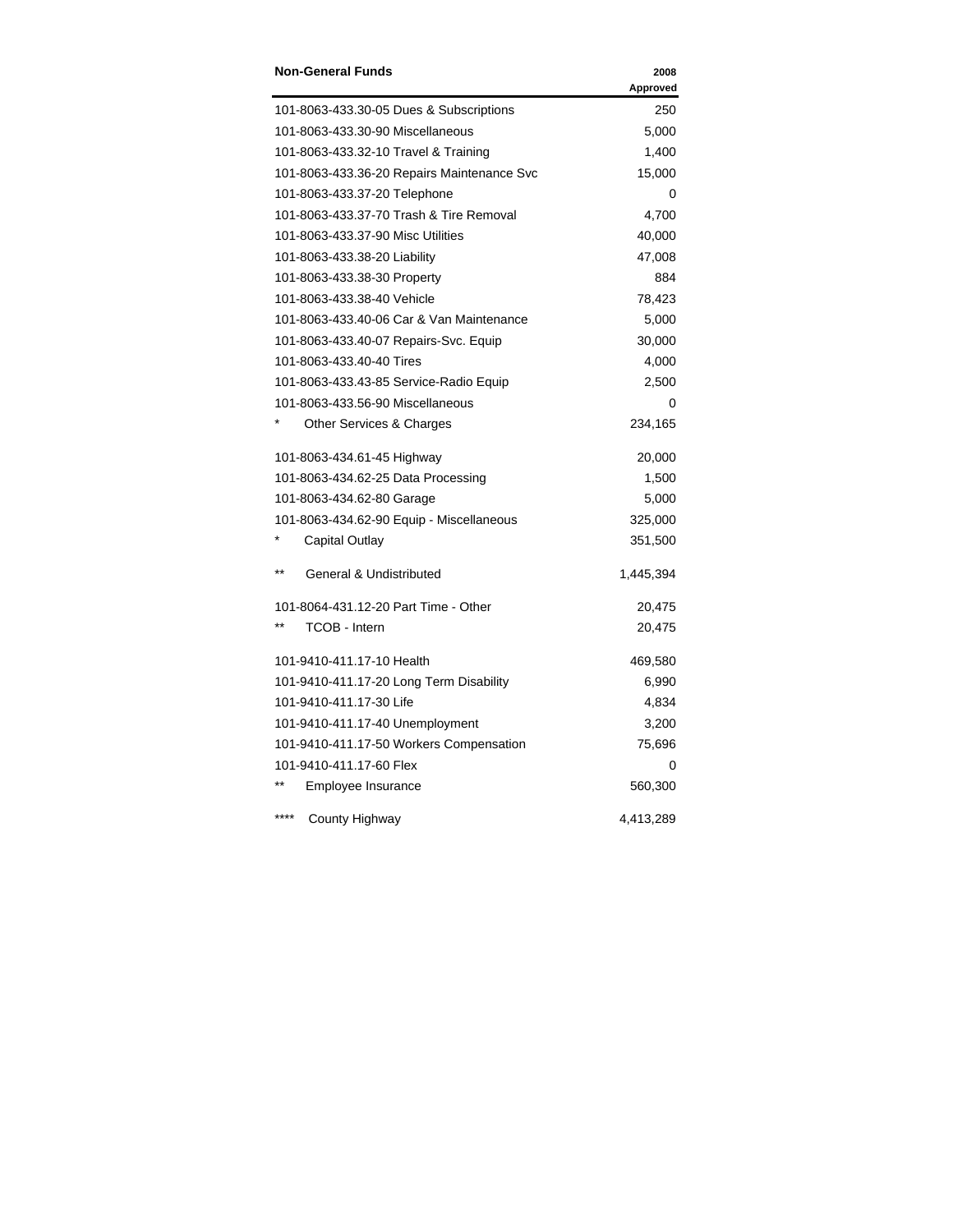| <b>Non-General Funds</b>                   | 2008<br>Approved |
|--------------------------------------------|------------------|
| 101-8063-433.30-05 Dues & Subscriptions    | 250              |
| 101-8063-433.30-90 Miscellaneous           | 5,000            |
| 101-8063-433.32-10 Travel & Training       | 1,400            |
| 101-8063-433.36-20 Repairs Maintenance Svc | 15,000           |
| 101-8063-433.37-20 Telephone               | 0                |
| 101-8063-433.37-70 Trash & Tire Removal    | 4,700            |
| 101-8063-433.37-90 Misc Utilities          | 40,000           |
| 101-8063-433.38-20 Liability               | 47,008           |
| 101-8063-433.38-30 Property                | 884              |
| 101-8063-433.38-40 Vehicle                 | 78,423           |
| 101-8063-433.40-06 Car & Van Maintenance   | 5,000            |
| 101-8063-433.40-07 Repairs-Svc. Equip      | 30,000           |
| 101-8063-433.40-40 Tires                   | 4,000            |
| 101-8063-433.43-85 Service-Radio Equip     | 2,500            |
| 101-8063-433.56-90 Miscellaneous           | 0                |
| Other Services & Charges                   | 234,165          |
| 101-8063-434.61-45 Highway                 | 20,000           |
| 101-8063-434.62-25 Data Processing         | 1,500            |
| 101-8063-434.62-80 Garage                  | 5,000            |
| 101-8063-434.62-90 Equip - Miscellaneous   | 325,000          |
| <b>Capital Outlay</b>                      | 351,500          |
| $***$<br>General & Undistributed           | 1,445,394        |
| 101-8064-431.12-20 Part Time - Other       | 20,475           |
| TCOB - Intern                              | 20,475           |
| 101-9410-411.17-10 Health                  | 469,580          |
| 101-9410-411.17-20 Long Term Disability    | 6,990            |
| 101-9410-411.17-30 Life                    | 4,834            |
| 101-9410-411.17-40 Unemployment            | 3,200            |
| 101-9410-411.17-50 Workers Compensation    | 75,696           |
| 101-9410-411.17-60 Flex                    | 0                |
| Employee Insurance                         | 560,300          |
| County Highway                             | 4,413,289        |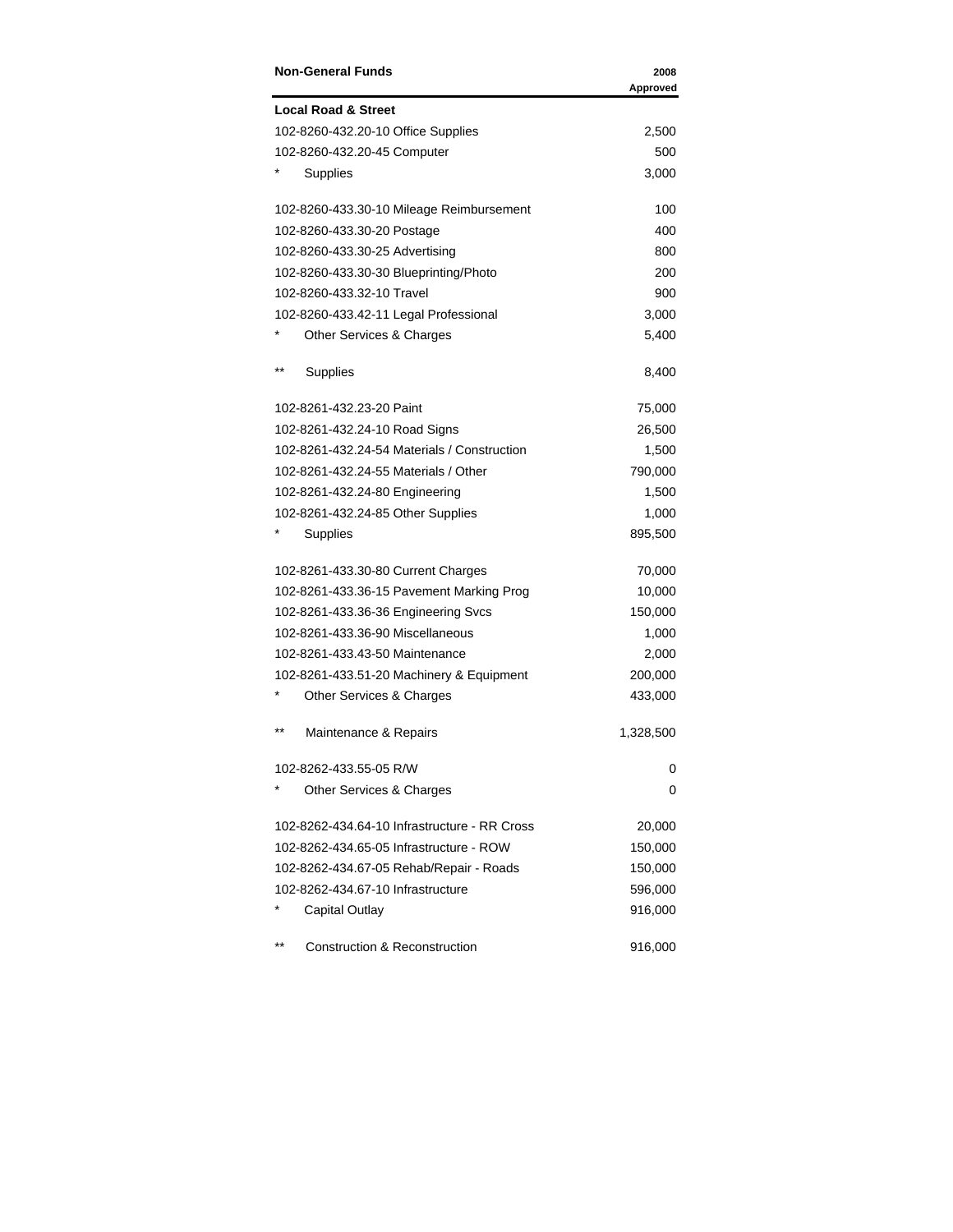| <b>Non-General Funds</b>                     | 2008<br>Approved |
|----------------------------------------------|------------------|
| <b>Local Road &amp; Street</b>               |                  |
| 102-8260-432.20-10 Office Supplies           | 2,500            |
| 102-8260-432.20-45 Computer                  | 500              |
| Supplies                                     | 3,000            |
| 102-8260-433.30-10 Mileage Reimbursement     | 100              |
| 102-8260-433.30-20 Postage                   | 400              |
| 102-8260-433.30-25 Advertising               | 800              |
| 102-8260-433.30-30 Blueprinting/Photo        | 200              |
| 102-8260-433.32-10 Travel                    | 900              |
| 102-8260-433.42-11 Legal Professional        | 3,000            |
| Other Services & Charges                     | 5,400            |
| $* *$<br>Supplies                            | 8,400            |
| 102-8261-432.23-20 Paint                     | 75,000           |
| 102-8261-432.24-10 Road Signs                | 26,500           |
| 102-8261-432.24-54 Materials / Construction  | 1,500            |
| 102-8261-432.24-55 Materials / Other         | 790,000          |
| 102-8261-432.24-80 Engineering               | 1,500            |
| 102-8261-432.24-85 Other Supplies            | 1,000            |
| Supplies                                     | 895,500          |
| 102-8261-433.30-80 Current Charges           | 70,000           |
| 102-8261-433.36-15 Pavement Marking Prog     | 10,000           |
| 102-8261-433.36-36 Engineering Svcs          | 150,000          |
| 102-8261-433.36-90 Miscellaneous             | 1,000            |
| 102-8261-433.43-50 Maintenance               | 2,000            |
| 102-8261-433.51-20 Machinery & Equipment     | 200,000          |
| Other Services & Charges                     | 433,000          |
| $***$<br>Maintenance & Repairs               | 1,328,500        |
| 102-8262-433.55-05 R/W                       | 0                |
| Other Services & Charges                     | 0                |
| 102-8262-434.64-10 Infrastructure - RR Cross | 20,000           |
| 102-8262-434.65-05 Infrastructure - ROW      | 150,000          |
| 102-8262-434.67-05 Rehab/Repair - Roads      | 150,000          |
| 102-8262-434.67-10 Infrastructure            | 596,000          |
| Capital Outlay                               | 916,000          |
| $***$<br>Construction & Reconstruction       | 916,000          |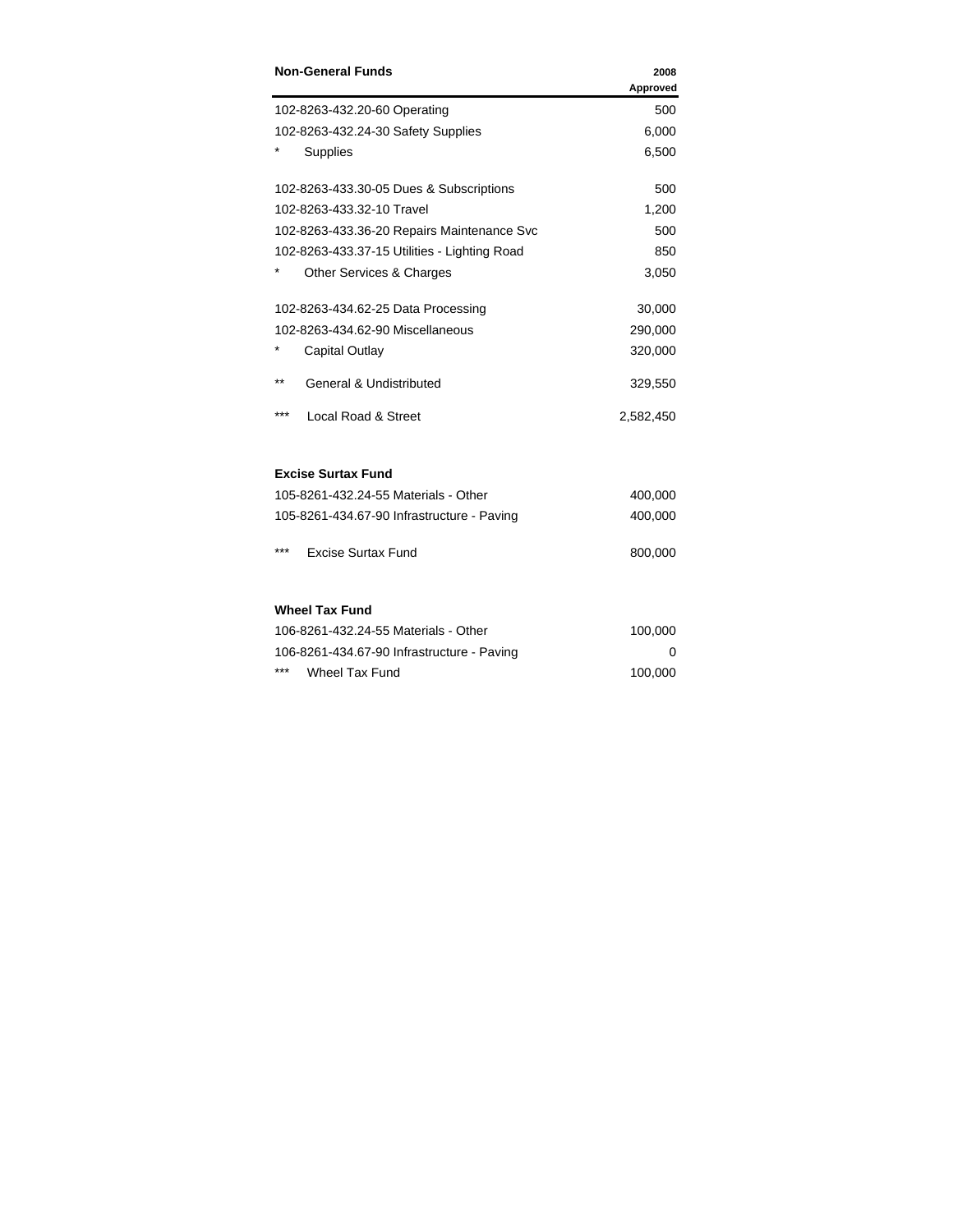| <b>Non-General Funds</b>                     | 2008<br>Approved |
|----------------------------------------------|------------------|
| 102-8263-432.20-60 Operating                 | 500              |
| 102-8263-432.24-30 Safety Supplies           | 6,000            |
| Supplies                                     | 6,500            |
| 102-8263-433.30-05 Dues & Subscriptions      | 500              |
| 102-8263-433.32-10 Travel                    | 1,200            |
| 102-8263-433.36-20 Repairs Maintenance Svc   | 500              |
| 102-8263-433.37-15 Utilities - Lighting Road | 850              |
| Other Services & Charges                     | 3,050            |
| 102-8263-434.62-25 Data Processing           | 30,000           |
| 102-8263-434.62-90 Miscellaneous             | 290,000          |
| Capital Outlay                               | 320,000          |
| $* *$<br><b>General &amp; Undistributed</b>  | 329,550          |
| ***<br>Local Road & Street                   | 2,582,450        |
| <b>Excise Surtax Fund</b>                    |                  |
| 105-8261-432.24-55 Materials - Other         | 400,000          |
| 105-8261-434.67-90 Infrastructure - Paving   | 400,000          |
| ***<br><b>Excise Surtax Fund</b>             | 800,000          |
| <b>Wheel Tax Fund</b>                        |                  |
| 106-8261-432.24-55 Materials - Other         | 100,000          |
| 106-8261-434.67-90 Infrastructure - Paving   | 0                |
| ***<br><b>Wheel Tax Fund</b>                 | 100,000          |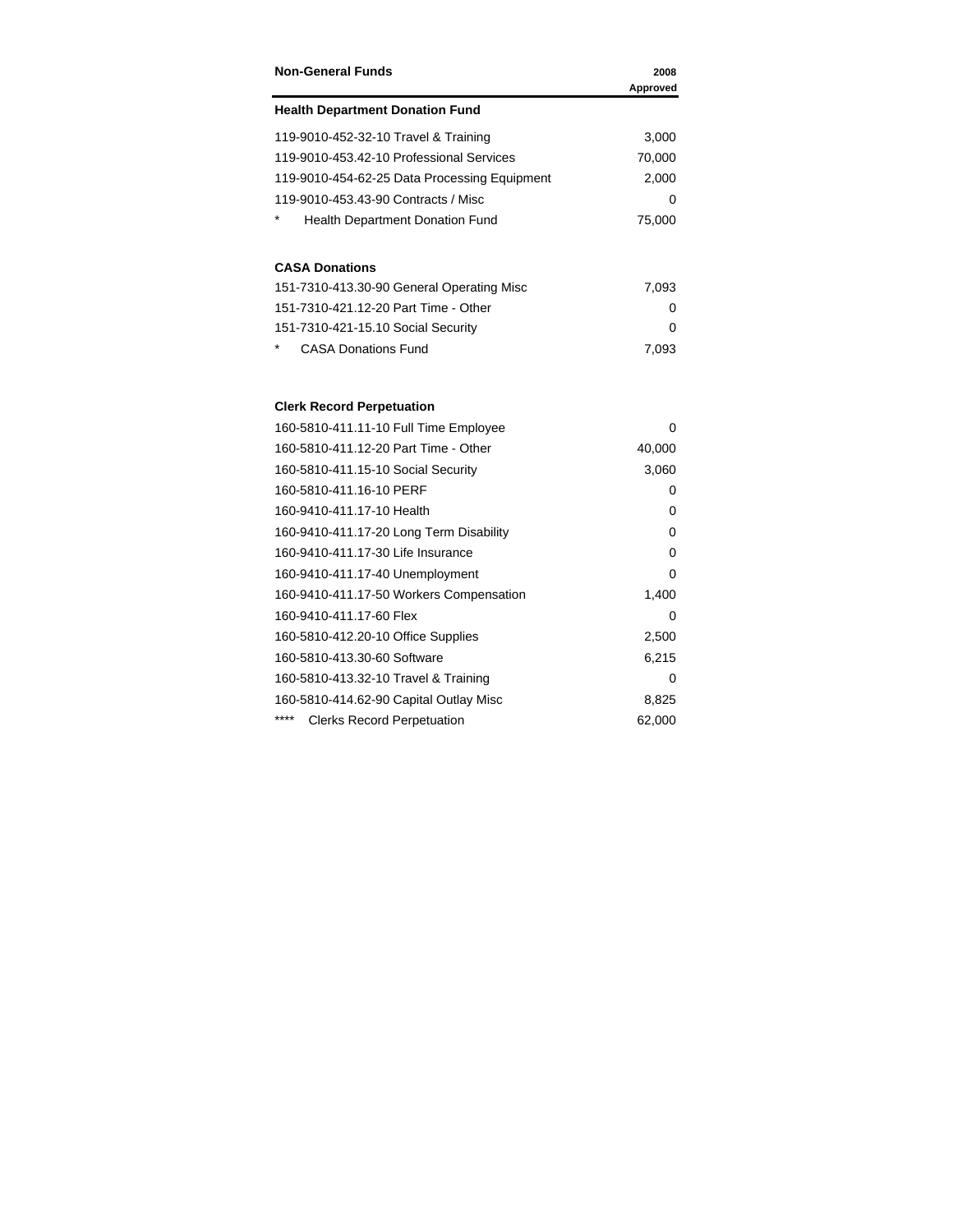| <b>Non-General Funds</b>                                                      | 2008<br>Approved |
|-------------------------------------------------------------------------------|------------------|
| <b>Health Department Donation Fund</b>                                        |                  |
| 119-9010-452-32-10 Travel & Training                                          | 3,000            |
| 119-9010-453.42-10 Professional Services                                      | 70,000           |
| 119-9010-454-62-25 Data Processing Equipment                                  | 2,000            |
| 119-9010-453.43-90 Contracts / Misc                                           | 0                |
| Health Department Donation Fund                                               | 75,000           |
| <b>CASA Donations</b>                                                         |                  |
| 151-7310-413.30-90 General Operating Misc                                     | 7,093            |
| 151-7310-421.12-20 Part Time - Other                                          | 0                |
| 151-7310-421-15.10 Social Security                                            | 0                |
| <b>CASA Donations Fund</b>                                                    | 7,093            |
| <b>Clerk Record Perpetuation</b>                                              |                  |
|                                                                               | 0                |
| 160-5810-411.11-10 Full Time Employee<br>160-5810-411.12-20 Part Time - Other | 40,000           |
| 160-5810-411.15-10 Social Security                                            | 3,060            |
| 160-5810-411.16-10 PERF                                                       | 0                |
| 160-9410-411.17-10 Health                                                     | 0                |
| 160-9410-411.17-20 Long Term Disability                                       | 0                |
| 160-9410-411.17-30 Life Insurance                                             | 0                |
| 160-9410-411.17-40 Unemployment                                               | 0                |
| 160-9410-411.17-50 Workers Compensation                                       | 1,400            |
| 160-9410-411.17-60 Flex                                                       | 0                |
| 160-5810-412.20-10 Office Supplies                                            | 2,500            |
| 160-5810-413.30-60 Software                                                   | 6,215            |
| 160-5810-413.32-10 Travel & Training                                          | 0                |
| 160-5810-414.62-90 Capital Outlay Misc                                        | 8,825            |
| <b>Clerks Record Perpetuation</b>                                             | 62,000           |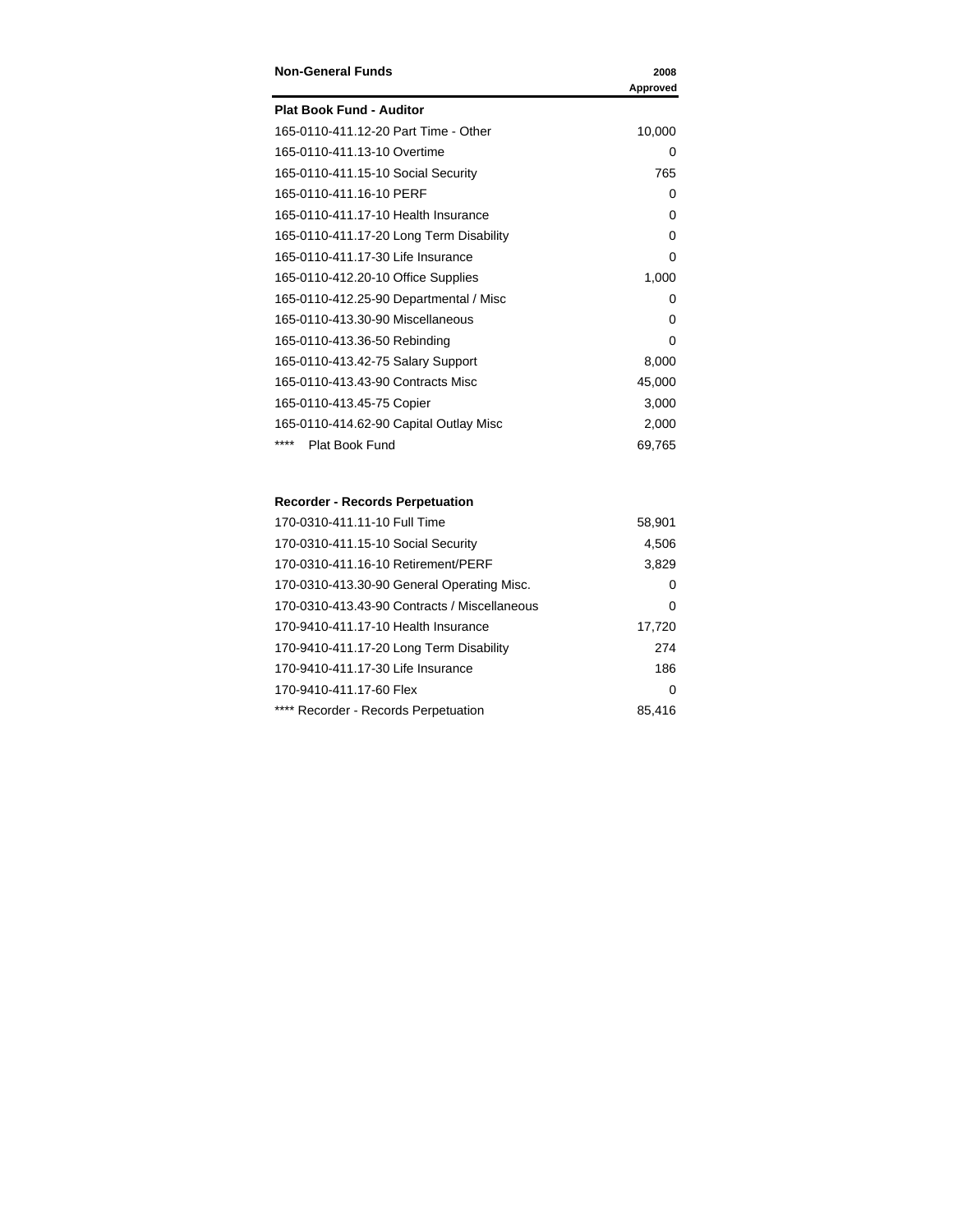| <b>Non-General Funds</b>                | 2008     |
|-----------------------------------------|----------|
|                                         | Approved |
| <b>Plat Book Fund - Auditor</b>         |          |
| 165-0110-411.12-20 Part Time - Other    | 10,000   |
| 165-0110-411.13-10 Overtime             | 0        |
| 165-0110-411.15-10 Social Security      | 765      |
| 165-0110-411.16-10 PERF                 | 0        |
| 165-0110-411.17-10 Health Insurance     | 0        |
| 165-0110-411.17-20 Long Term Disability | 0        |
| 165-0110-411.17-30 Life Insurance       | 0        |
| 165-0110-412.20-10 Office Supplies      | 1,000    |
| 165-0110-412.25-90 Departmental / Misc  | 0        |
| 165-0110-413.30-90 Miscellaneous        | $\Omega$ |
| 165-0110-413.36-50 Rebinding            | $\Omega$ |
| 165-0110-413.42-75 Salary Support       | 8,000    |
| 165-0110-413.43-90 Contracts Misc       | 45,000   |
| 165-0110-413.45-75 Copier               | 3,000    |
| 165-0110-414.62-90 Capital Outlay Misc  | 2,000    |
| ****<br>Plat Book Fund                  | 69,765   |

### **Recorder - Records Perpetuation**

| 170-0310-411.11-10 Full Time                 | 58,901   |
|----------------------------------------------|----------|
| 170-0310-411.15-10 Social Security           | 4,506    |
| 170-0310-411.16-10 Retirement/PERF           | 3,829    |
| 170-0310-413.30-90 General Operating Misc.   | 0        |
| 170-0310-413.43-90 Contracts / Miscellaneous | 0        |
| 170-9410-411.17-10 Health Insurance          | 17,720   |
| 170-9410-411.17-20 Long Term Disability      | 274      |
| 170-9410-411.17-30 Life Insurance            | 186      |
| 170-9410-411.17-60 Flex                      | $\Omega$ |
| **** Recorder - Records Perpetuation         | 85.416   |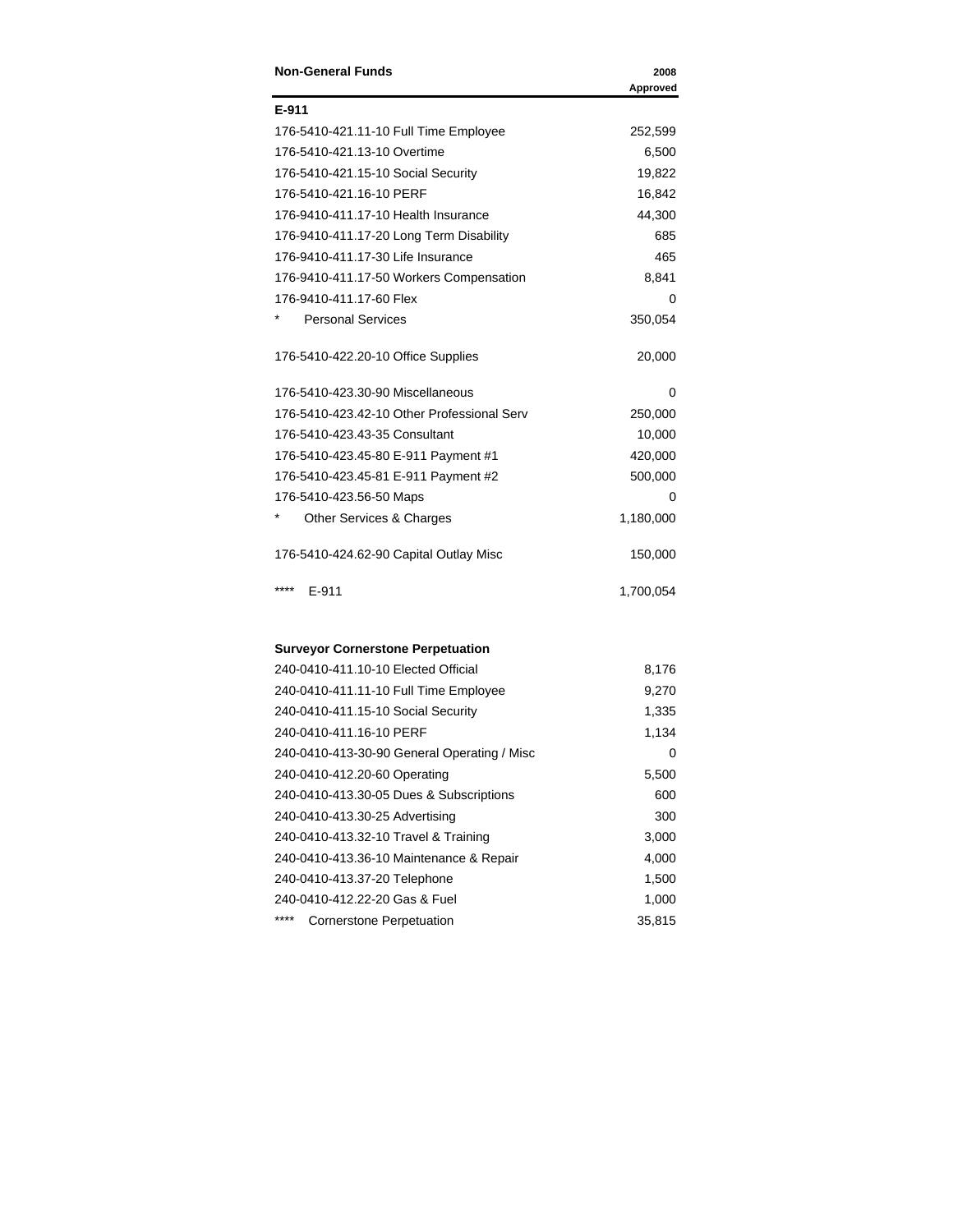| <b>Non-General Funds</b>                   | 2008      |
|--------------------------------------------|-----------|
|                                            | Approved  |
| E-911                                      |           |
| 176-5410-421.11-10 Full Time Employee      | 252,599   |
| 176-5410-421.13-10 Overtime                | 6,500     |
| 176-5410-421.15-10 Social Security         | 19,822    |
| 176-5410-421.16-10 PERF                    | 16,842    |
| 176-9410-411.17-10 Health Insurance        | 44,300    |
| 176-9410-411.17-20 Long Term Disability    | 685       |
| 176-9410-411.17-30 Life Insurance          | 465       |
| 176-9410-411.17-50 Workers Compensation    | 8,841     |
| 176-9410-411.17-60 Flex                    | 0         |
| <b>Personal Services</b>                   | 350,054   |
| 176-5410-422.20-10 Office Supplies         | 20,000    |
| 176-5410-423.30-90 Miscellaneous           | 0         |
| 176-5410-423.42-10 Other Professional Serv | 250,000   |
| 176-5410-423.43-35 Consultant              | 10,000    |
| 176-5410-423.45-80 E-911 Payment #1        | 420,000   |
| 176-5410-423.45-81 E-911 Payment #2        | 500,000   |
| 176-5410-423.56-50 Maps                    | 0         |
| Other Services & Charges                   | 1,180,000 |
| 176-5410-424.62-90 Capital Outlay Misc     | 150,000   |
| ****<br>$E-911$                            | 1,700,054 |

#### **Surveyor Cornerstone Perpetuation**

| 240-0410-411.10-10 Elected Official         | 8,176  |
|---------------------------------------------|--------|
| 240-0410-411.11-10 Full Time Employee       | 9,270  |
| 240-0410-411.15-10 Social Security          | 1,335  |
| 240-0410-411.16-10 PERF                     | 1,134  |
| 240-0410-413-30-90 General Operating / Misc | 0      |
| 240-0410-412.20-60 Operating                | 5,500  |
| 240-0410-413.30-05 Dues & Subscriptions     | 600    |
| 240-0410-413.30-25 Advertising              | 300    |
| 240-0410-413.32-10 Travel & Training        | 3,000  |
| 240-0410-413.36-10 Maintenance & Repair     | 4,000  |
| 240-0410-413.37-20 Telephone                | 1,500  |
| 240-0410-412.22-20 Gas & Fuel               | 1,000  |
| ****<br>Cornerstone Perpetuation            | 35.815 |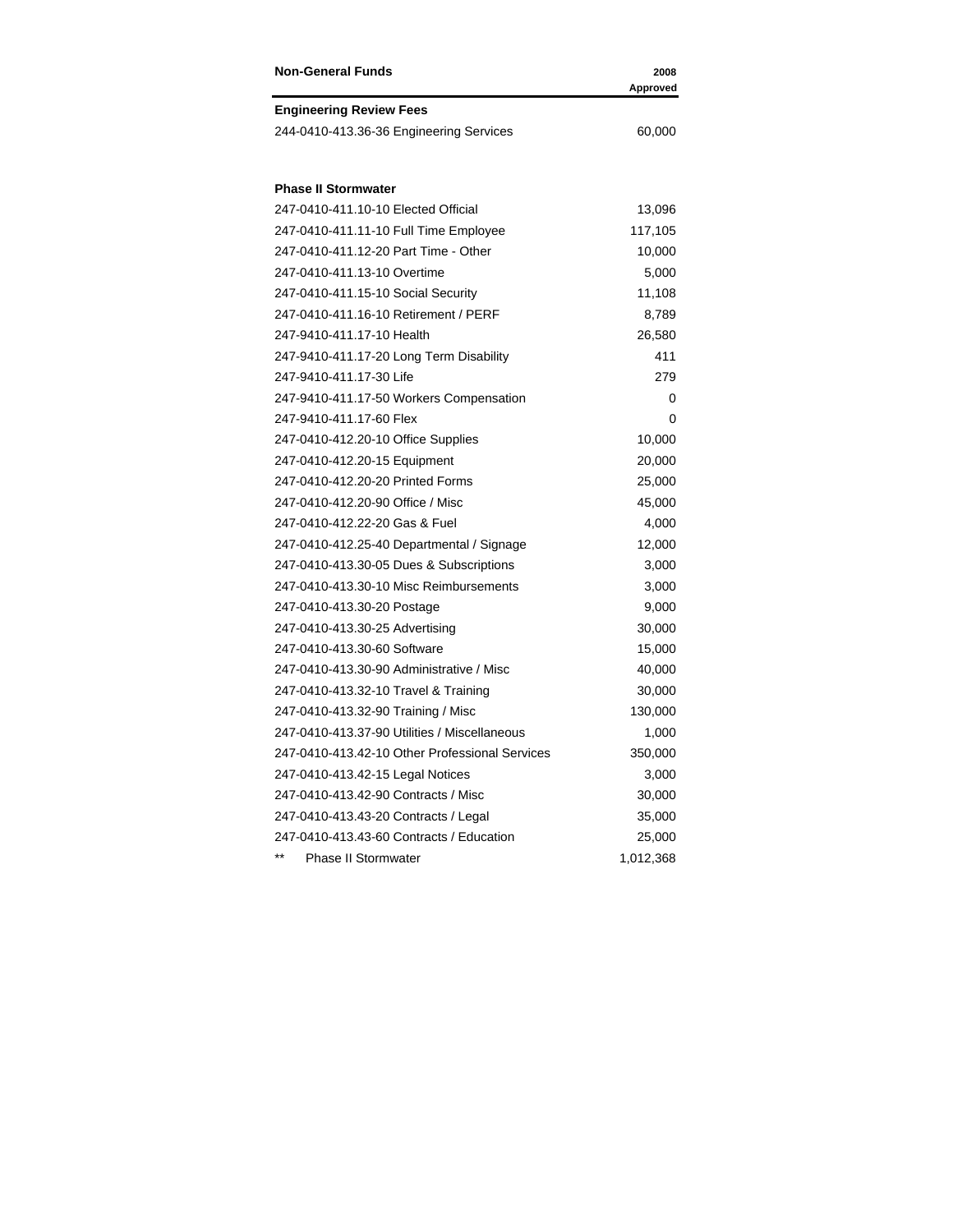| <b>Non-General Funds</b>                       | 2008<br>Approved |
|------------------------------------------------|------------------|
| <b>Engineering Review Fees</b>                 |                  |
| 244-0410-413.36-36 Engineering Services        | 60,000           |
| <b>Phase II Stormwater</b>                     |                  |
| 247-0410-411.10-10 Elected Official            | 13,096           |
| 247-0410-411.11-10 Full Time Employee          | 117,105          |
| 247-0410-411.12-20 Part Time - Other           | 10,000           |
| 247-0410-411.13-10 Overtime                    | 5,000            |
| 247-0410-411.15-10 Social Security             | 11,108           |
| 247-0410-411.16-10 Retirement / PERF           | 8,789            |
| 247-9410-411.17-10 Health                      | 26,580           |
| 247-9410-411.17-20 Long Term Disability        | 411              |
| 247-9410-411.17-30 Life                        | 279              |
| 247-9410-411.17-50 Workers Compensation        | 0                |
| 247-9410-411.17-60 Flex                        | 0                |
| 247-0410-412.20-10 Office Supplies             | 10,000           |
| 247-0410-412.20-15 Equipment                   | 20,000           |
| 247-0410-412.20-20 Printed Forms               | 25,000           |
| 247-0410-412.20-90 Office / Misc               | 45,000           |
| 247-0410-412.22-20 Gas & Fuel                  | 4,000            |
| 247-0410-412.25-40 Departmental / Signage      | 12,000           |
| 247-0410-413.30-05 Dues & Subscriptions        | 3,000            |
| 247-0410-413.30-10 Misc Reimbursements         | 3,000            |
| 247-0410-413.30-20 Postage                     | 9,000            |
| 247-0410-413.30-25 Advertising                 | 30,000           |
| 247-0410-413.30-60 Software                    | 15,000           |
| 247-0410-413.30-90 Administrative / Misc       | 40,000           |
| 247-0410-413.32-10 Travel & Training           | 30,000           |
| 247-0410-413.32-90 Training / Misc             | 130,000          |
| 247-0410-413.37-90 Utilities / Miscellaneous   | 1,000            |
| 247-0410-413.42-10 Other Professional Services | 350,000          |
| 247-0410-413.42-15 Legal Notices               | 3,000            |
| 247-0410-413.42-90 Contracts / Misc            | 30,000           |
| 247-0410-413.43-20 Contracts / Legal           | 35,000           |
| 247-0410-413.43-60 Contracts / Education       | 25,000           |
| $***$<br><b>Phase II Stormwater</b>            | 1,012,368        |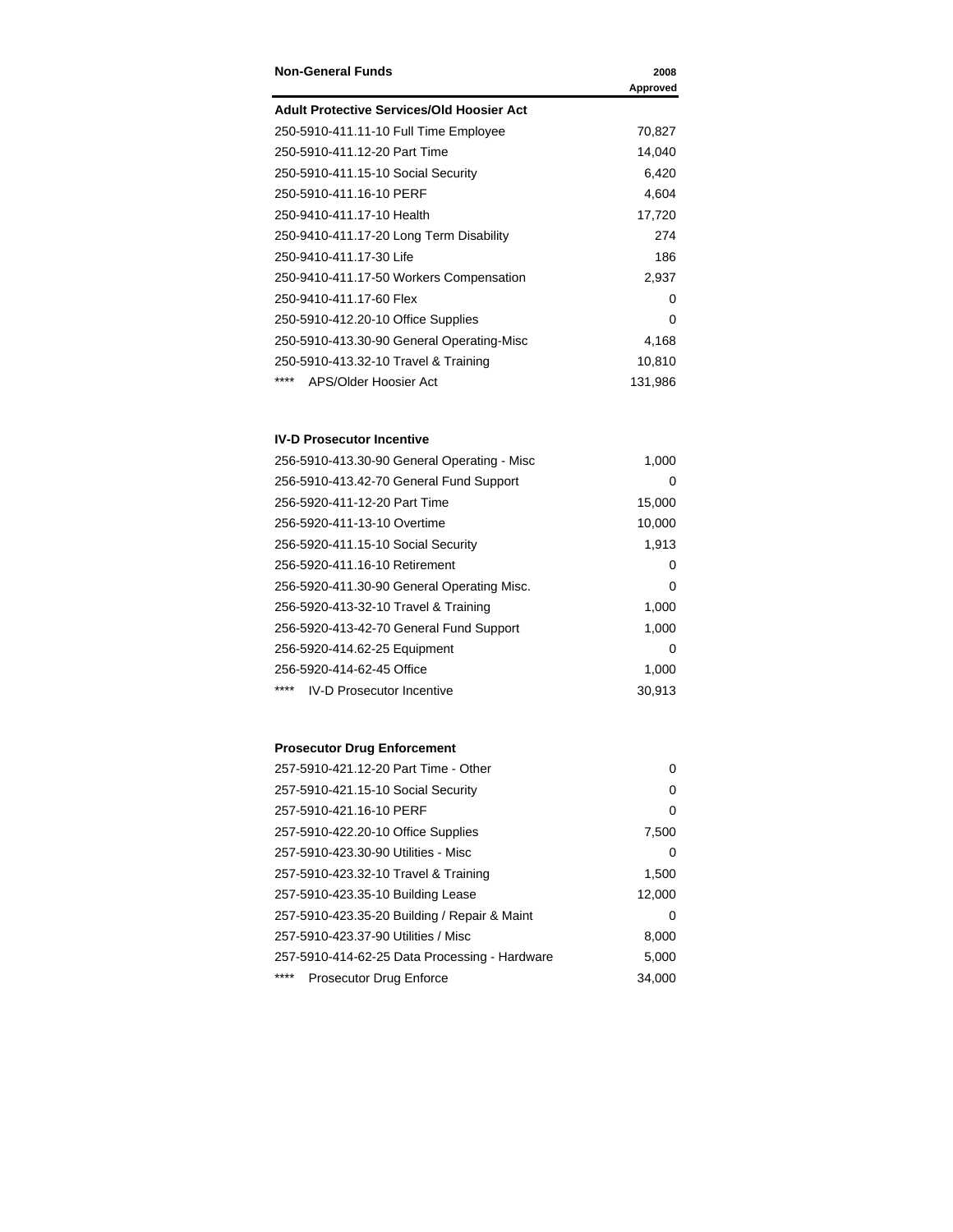| <b>Non-General Funds</b>                         | 2008     |
|--------------------------------------------------|----------|
|                                                  | Approved |
| <b>Adult Protective Services/Old Hoosier Act</b> |          |
| 250-5910-411.11-10 Full Time Employee            | 70,827   |
| 250-5910-411.12-20 Part Time                     | 14,040   |
| 250-5910-411.15-10 Social Security               | 6,420    |
| 250-5910-411.16-10 PERF                          | 4,604    |
| 250-9410-411.17-10 Health                        | 17,720   |
| 250-9410-411.17-20 Long Term Disability          | 274      |
| 250-9410-411.17-30 Life                          | 186      |
| 250-9410-411.17-50 Workers Compensation          | 2,937    |
| 250-9410-411.17-60 Flex                          | 0        |
| 250-5910-412.20-10 Office Supplies               | $\Omega$ |
| 250-5910-413.30-90 General Operating Misc        | 4,168    |
| 250-5910-413.32-10 Travel & Training             | 10,810   |
| ****<br>APS/Older Hoosier Act                    | 131,986  |

#### **IV-D Prosecutor Incentive**

| 256-5910-413.30-90 General Operating - Misc | 1,000  |
|---------------------------------------------|--------|
| 256-5910-413.42-70 General Fund Support     | 0      |
| 256-5920-411-12-20 Part Time                | 15,000 |
| 256-5920-411-13-10 Overtime                 | 10,000 |
| 256-5920-411.15-10 Social Security          | 1,913  |
| 256-5920-411.16-10 Retirement               | 0      |
| 256-5920-411.30-90 General Operating Misc.  | 0      |
| 256-5920-413-32-10 Travel & Training        | 1,000  |
| 256-5920-413-42-70 General Fund Support     | 1,000  |
| 256-5920-414.62-25 Equipment                | 0      |
| 256-5920-414-62-45 Office                   | 1,000  |
| ****<br><b>IV-D Prosecutor Incentive</b>    | 30.913 |

### **Prosecutor Drug Enforcement**

| 257-5910-421.12-20 Part Time - Other          | $\Omega$ |
|-----------------------------------------------|----------|
| 257-5910-421.15-10 Social Security            | 0        |
| 257-5910-421.16-10 PERF                       | 0        |
| 257-5910-422.20-10 Office Supplies            | 7,500    |
| 257-5910-423.30-90 Utilities - Misc           | 0        |
| 257-5910-423.32-10 Travel & Training          | 1,500    |
| 257-5910-423.35-10 Building Lease             | 12,000   |
| 257-5910-423.35-20 Building / Repair & Maint  | 0        |
| 257-5910-423.37-90 Utilities / Misc           | 8,000    |
| 257-5910-414-62-25 Data Processing - Hardware | 5,000    |
| ****<br><b>Prosecutor Drug Enforce</b>        | 34.000   |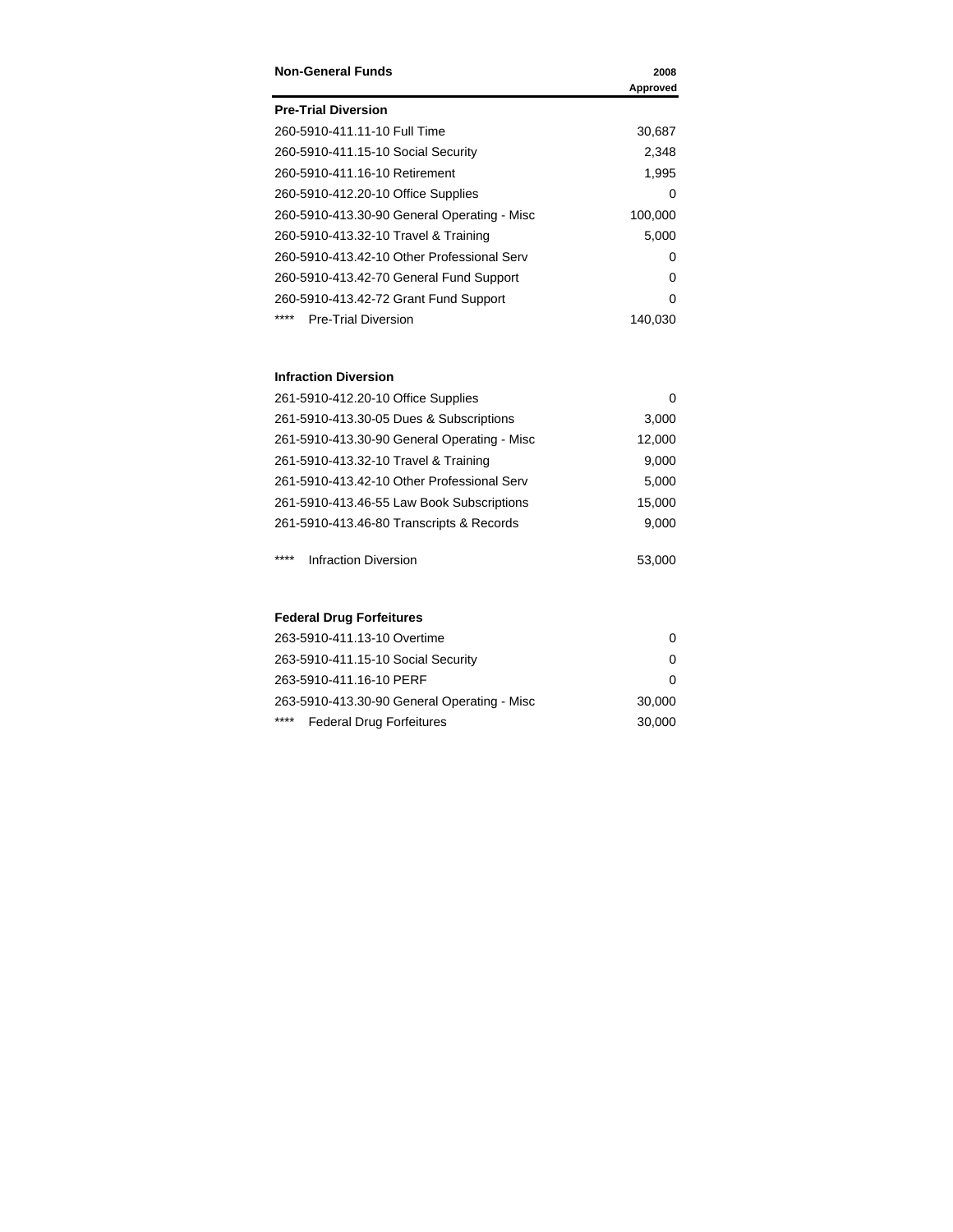| <b>Non-General Funds</b>                    | 2008     |
|---------------------------------------------|----------|
|                                             | Approved |
| <b>Pre-Trial Diversion</b>                  |          |
| 260-5910-411.11-10 Full Time                | 30,687   |
| 260-5910-411.15-10 Social Security          | 2,348    |
| 260-5910-411.16-10 Retirement               | 1,995    |
| 260-5910-412.20-10 Office Supplies          | 0        |
| 260-5910-413.30-90 General Operating - Misc | 100,000  |
| 260-5910-413.32-10 Travel & Training        | 5,000    |
| 260-5910-413.42-10 Other Professional Serv  | 0        |
| 260-5910-413.42-70 General Fund Support     | 0        |
| 260-5910-413.42-72 Grant Fund Support       | 0        |
| ****<br><b>Pre-Trial Diversion</b>          | 140,030  |

### **Infraction Diversion**

| 261-5910-412.20-10 Office Supplies          | 0      |
|---------------------------------------------|--------|
| 261-5910-413.30-05 Dues & Subscriptions     | 3,000  |
| 261-5910-413.30-90 General Operating - Misc | 12,000 |
| 261-5910-413.32-10 Travel & Training        | 9,000  |
| 261-5910-413.42-10 Other Professional Serv  | 5,000  |
| 261-5910-413.46-55 Law Book Subscriptions   | 15,000 |
| 261-5910-413.46-80 Transcripts & Records    | 9,000  |
|                                             |        |

\*\*\*\* Infraction Diversion 63,000

### **Federal Drug Forfeitures**

| 263-5910-411.13-10 Overtime                 |        |
|---------------------------------------------|--------|
| 263-5910-411.15-10 Social Security          |        |
| 263-5910-411.16-10 PERF                     |        |
| 263-5910-413.30-90 General Operating - Misc | 30,000 |
| ****<br><b>Federal Drug Forfeitures</b>     | 30,000 |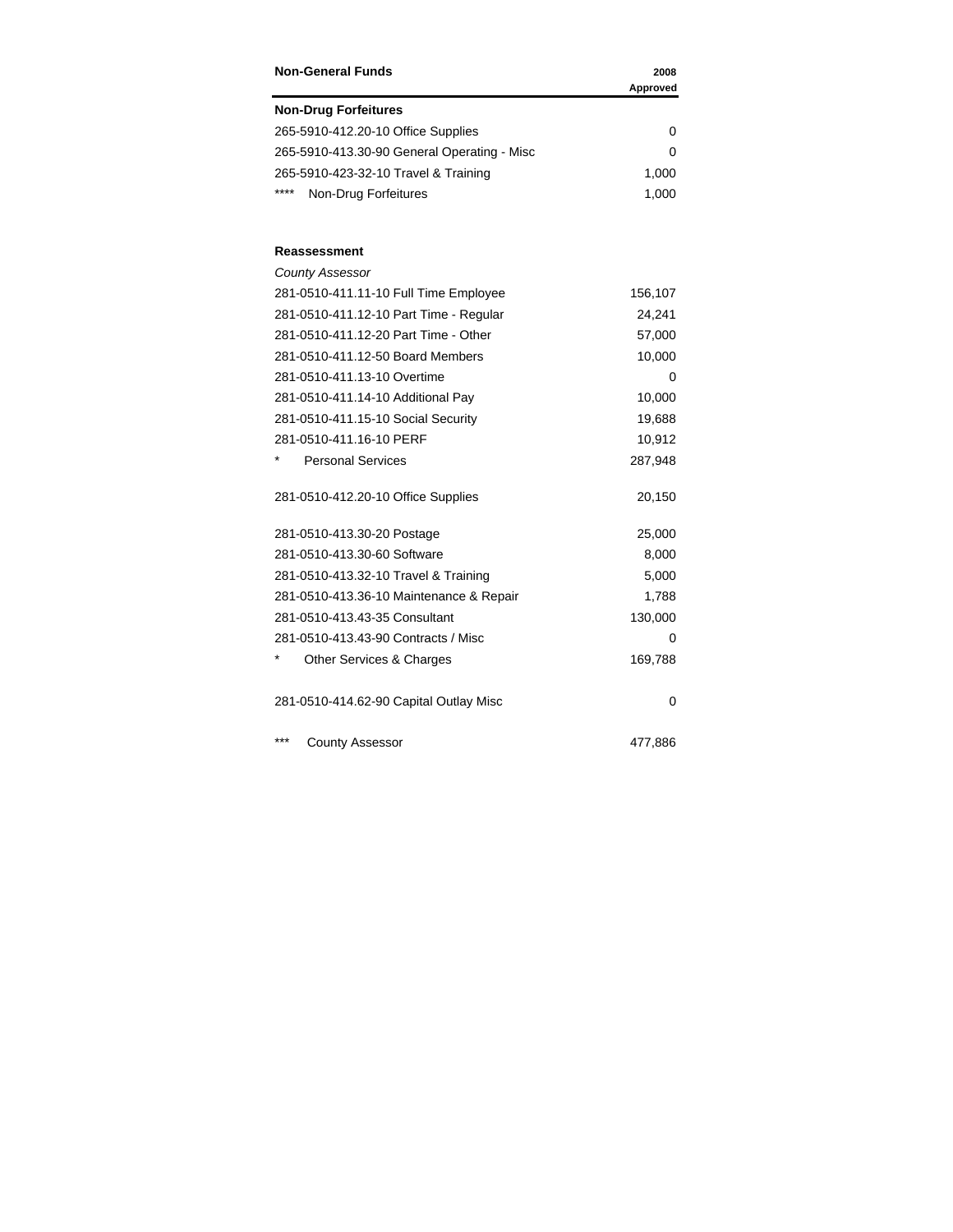| <b>Non-General Funds</b>                    | 2008<br>Approved |
|---------------------------------------------|------------------|
| <b>Non-Drug Forfeitures</b>                 |                  |
| 265-5910-412.20-10 Office Supplies          | 0                |
| 265-5910-413.30-90 General Operating - Misc | 0                |
| 265-5910-423-32-10 Travel & Training        | 1,000            |
| ****<br>Non-Drug Forfeitures                | 1,000            |
| Reassessment                                |                  |
| <b>County Assessor</b>                      |                  |
| 281-0510-411.11-10 Full Time Employee       | 156,107          |
| 281-0510-411.12-10 Part Time - Regular      | 24,241           |
| 281-0510-411.12-20 Part Time - Other        | 57,000           |
| 281-0510-411.12-50 Board Members            | 10,000           |
| 281-0510-411.13-10 Overtime                 | 0                |
| 281-0510-411.14-10 Additional Pay           | 10,000           |
| 281-0510-411.15-10 Social Security          | 19,688           |
| 281-0510-411.16-10 PERF                     | 10,912           |
| <b>Personal Services</b>                    | 287,948          |
| 281-0510-412.20-10 Office Supplies          | 20,150           |
| 281-0510-413.30-20 Postage                  | 25,000           |
| 281-0510-413.30-60 Software                 | 8,000            |
| 281-0510-413.32-10 Travel & Training        | 5,000            |
| 281-0510-413.36-10 Maintenance & Repair     | 1,788            |
| 281-0510-413.43-35 Consultant               | 130,000          |
| 281-0510-413.43-90 Contracts / Misc         | 0                |
| *<br>Other Services & Charges               | 169,788          |
| 281-0510-414.62-90 Capital Outlay Misc      | 0                |
| ***<br><b>County Assessor</b>               | 477,886          |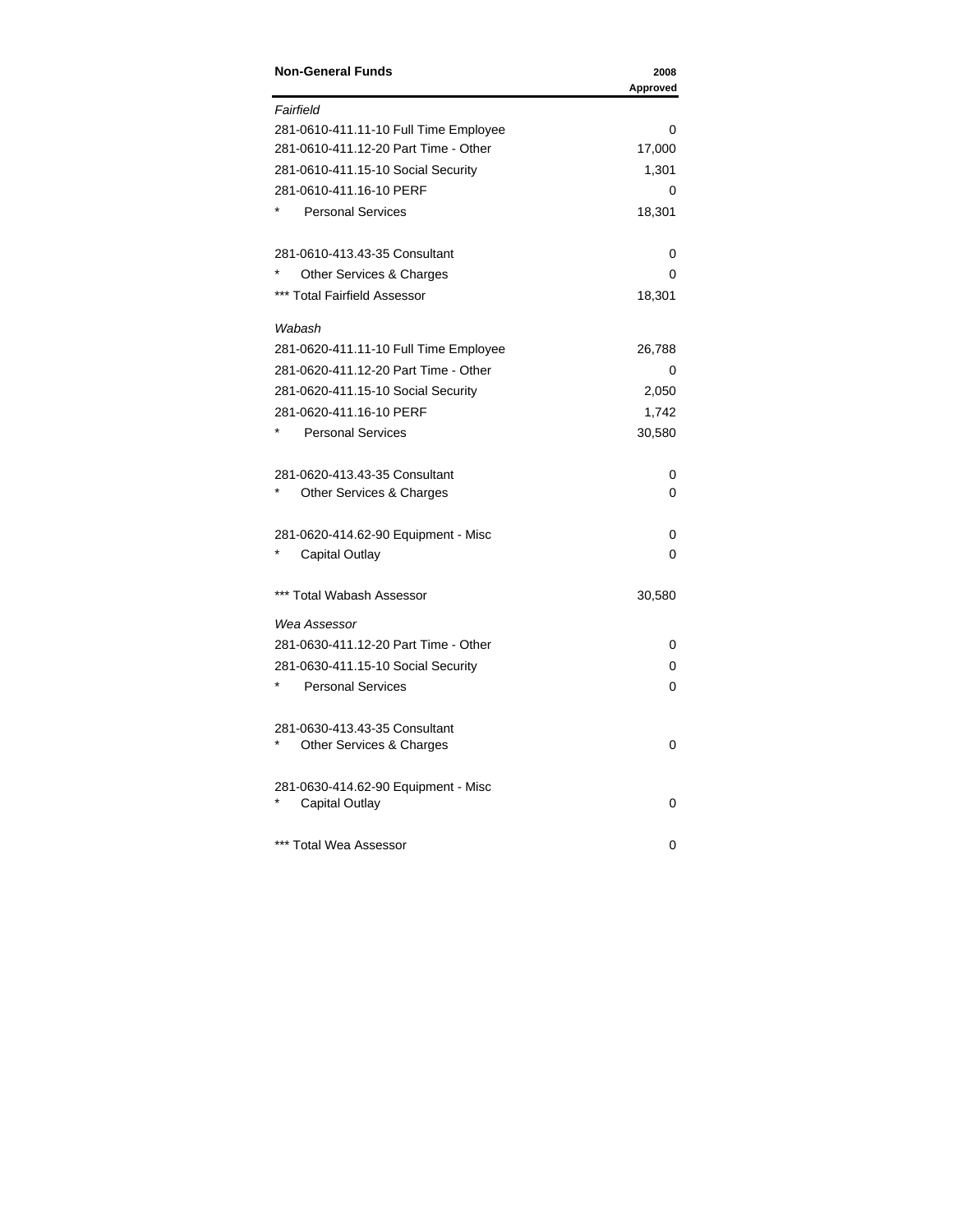| <b>Non-General Funds</b>                                  | 2008<br>Approved |
|-----------------------------------------------------------|------------------|
| Fairfield                                                 |                  |
| 281-0610-411.11-10 Full Time Employee                     | 0                |
| 281-0610-411.12-20 Part Time - Other                      | 17,000           |
| 281-0610-411.15-10 Social Security                        | 1,301            |
| 281-0610-411.16-10 PERF                                   | 0                |
| <b>Personal Services</b>                                  | 18,301           |
| 281-0610-413.43-35 Consultant                             | 0                |
| Other Services & Charges                                  | 0                |
| *** Total Fairfield Assessor                              | 18,301           |
| Wabash                                                    |                  |
| 281-0620-411.11-10 Full Time Employee                     | 26,788           |
| 281-0620-411.12-20 Part Time - Other                      | 0                |
| 281-0620-411.15-10 Social Security                        | 2,050            |
| 281-0620-411.16-10 PERF                                   | 1,742            |
| <b>Personal Services</b>                                  | 30,580           |
| 281-0620-413.43-35 Consultant                             | 0                |
| Other Services & Charges                                  | 0                |
| 281-0620-414.62-90 Equipment - Misc                       | 0                |
| <b>Capital Outlay</b>                                     | 0                |
| *** Total Wabash Assessor                                 | 30,580           |
| Wea Assessor                                              |                  |
| 281-0630-411.12-20 Part Time - Other                      | 0                |
| 281-0630-411.15-10 Social Security                        | 0                |
| <b>Personal Services</b>                                  | 0                |
| 281-0630-413.43-35 Consultant<br>Other Services & Charges | 0                |
| 281-0630-414.62-90 Equipment - Misc<br>Capital Outlay     | 0                |
| *** Total Wea Assessor                                    | 0                |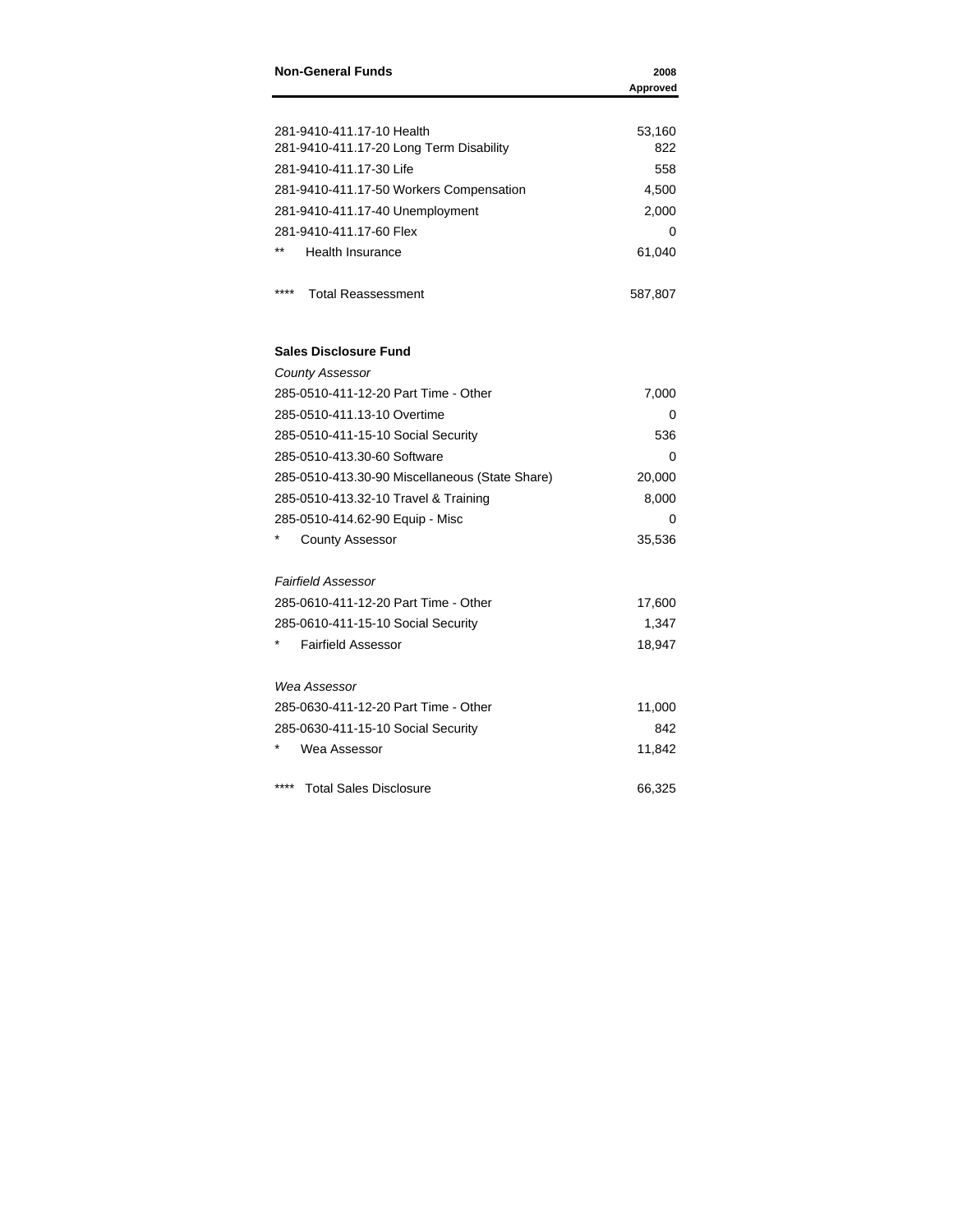| <b>Non-General Funds</b>                       | 2008<br>Approved |
|------------------------------------------------|------------------|
|                                                |                  |
| 281-9410-411.17-10 Health                      | 53,160           |
| 281-9410-411.17-20 Long Term Disability        | 822              |
| 281-9410-411.17-30 Life                        | 558              |
| 281-9410-411.17-50 Workers Compensation        | 4,500            |
| 281-9410-411.17-40 Unemployment                | 2,000            |
| 281-9410-411.17-60 Flex                        | 0                |
| Health Insurance                               | 61,040           |
| ****<br><b>Total Reassessment</b>              | 587,807          |
| <b>Sales Disclosure Fund</b>                   |                  |
| <b>County Assessor</b>                         |                  |
| 285-0510-411-12-20 Part Time - Other           | 7,000            |
| 285-0510-411.13-10 Overtime                    | 0                |
| 285-0510-411-15-10 Social Security             | 536              |
| 285-0510-413.30-60 Software                    | 0                |
| 285-0510-413.30-90 Miscellaneous (State Share) | 20,000           |
| 285-0510-413.32-10 Travel & Training           | 8,000            |
| 285-0510-414.62-90 Equip - Misc                | 0                |
| <b>County Assessor</b>                         | 35,536           |
| <b>Fairfield Assessor</b>                      |                  |
| 285-0610-411-12-20 Part Time - Other           | 17,600           |
| 285-0610-411-15-10 Social Security             | 1,347            |
| <b>Fairfield Assessor</b>                      | 18,947           |
| Wea Assessor                                   |                  |
| 285-0630-411-12-20 Part Time - Other           | 11,000           |
| 285-0630-411-15-10 Social Security             | 842              |
| Wea Assessor                                   | 11,842           |
| ****<br><b>Total Sales Disclosure</b>          | 66,325           |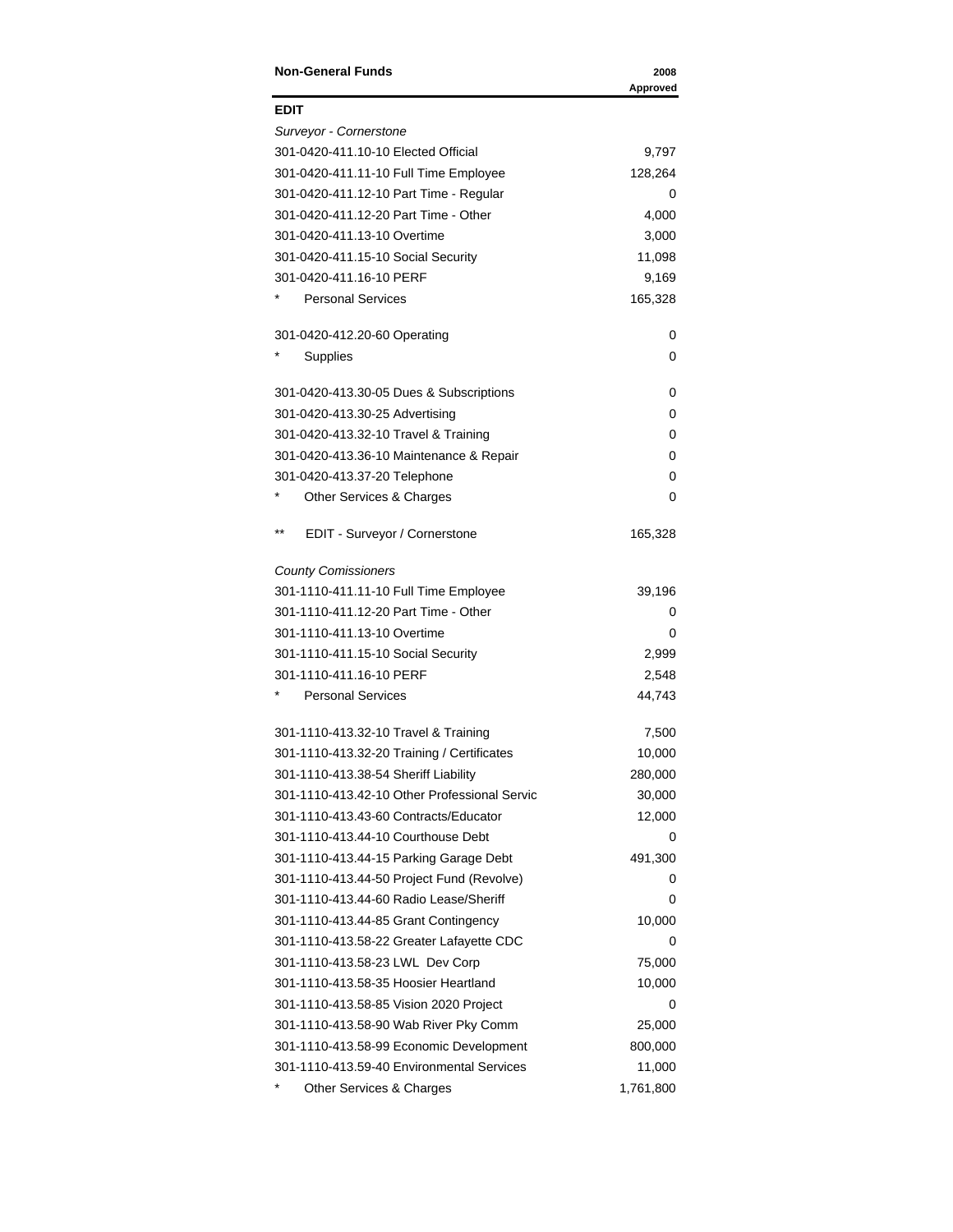| <b>Non-General Funds</b>                     | 2008<br>Approved |
|----------------------------------------------|------------------|
| <b>EDIT</b>                                  |                  |
| Surveyor - Cornerstone                       |                  |
| 301-0420-411.10-10 Elected Official          | 9,797            |
| 301-0420-411.11-10 Full Time Employee        | 128,264          |
| 301-0420-411.12-10 Part Time - Regular       | 0                |
| 301-0420-411.12-20 Part Time - Other         | 4,000            |
| 301-0420-411.13-10 Overtime                  | 3,000            |
| 301-0420-411.15-10 Social Security           | 11,098           |
| 301-0420-411.16-10 PERF                      | 9,169            |
| <b>Personal Services</b>                     | 165,328          |
| 301-0420-412.20-60 Operating                 | 0                |
| Supplies                                     | 0                |
| 301-0420-413.30-05 Dues & Subscriptions      | 0                |
| 301-0420-413.30-25 Advertising               | 0                |
| 301-0420-413.32-10 Travel & Training         | 0                |
| 301-0420-413.36-10 Maintenance & Repair      | 0                |
| 301-0420-413.37-20 Telephone                 | 0                |
| Other Services & Charges                     | 0                |
| $***$<br>EDIT - Surveyor / Cornerstone       | 165,328          |
| <b>County Comissioners</b>                   |                  |
| 301-1110-411.11-10 Full Time Employee        | 39,196           |
| 301-1110-411.12-20 Part Time - Other         | 0                |
| 301-1110-411.13-10 Overtime                  | 0                |
| 301-1110-411.15-10 Social Security           | 2,999            |
| 301-1110-411.16-10 PERF                      | 2,548            |
| <b>Personal Services</b>                     | 44,743           |
| 301-1110-413.32-10 Travel & Training         | 7,500            |
| 301-1110-413.32-20 Training / Certificates   | 10,000           |
| 301-1110-413.38-54 Sheriff Liability         | 280,000          |
| 301-1110-413.42-10 Other Professional Servic | 30,000           |
| 301-1110-413.43-60 Contracts/Educator        | 12,000           |
| 301-1110-413.44-10 Courthouse Debt           | 0                |
| 301-1110-413.44-15 Parking Garage Debt       | 491,300          |
| 301-1110-413.44-50 Project Fund (Revolve)    | 0                |
| 301-1110-413.44-60 Radio Lease/Sheriff       | 0                |
| 301-1110-413.44-85 Grant Contingency         | 10,000           |
| 301-1110-413.58-22 Greater Lafayette CDC     | 0                |
| 301-1110-413.58-23 LWL Dev Corp              | 75,000           |
| 301-1110-413.58-35 Hoosier Heartland         | 10,000           |
| 301-1110-413.58-85 Vision 2020 Project       | 0                |
| 301-1110-413.58-90 Wab River Pky Comm        | 25,000           |
| 301-1110-413.58-99 Economic Development      | 800,000          |
| 301-1110-413.59-40 Environmental Services    | 11,000           |
| Other Services & Charges                     | 1,761,800        |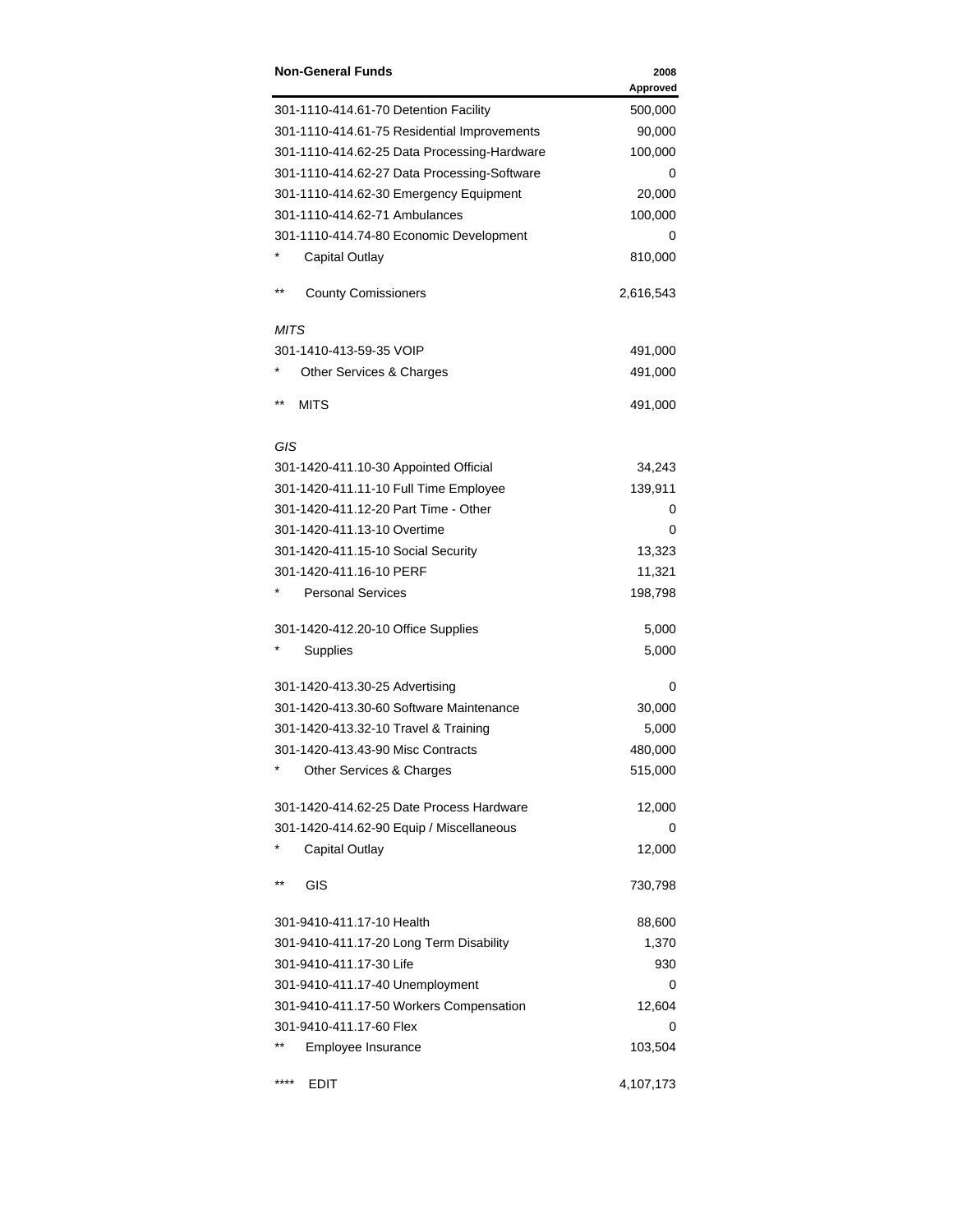| <b>Non-General Funds</b>                    | 2008<br>Approved |
|---------------------------------------------|------------------|
| 301-1110-414.61-70 Detention Facility       | 500,000          |
| 301-1110-414.61-75 Residential Improvements | 90,000           |
| 301-1110-414.62-25 Data Processing-Hardware | 100,000          |
| 301-1110-414.62-27 Data Processing-Software | 0                |
| 301-1110-414.62-30 Emergency Equipment      | 20,000           |
| 301-1110-414.62-71 Ambulances               | 100,000          |
| 301-1110-414.74-80 Economic Development     | 0                |
| <b>Capital Outlay</b>                       | 810,000          |
| $***$<br><b>County Comissioners</b>         | 2,616,543        |
| MITS                                        |                  |
| 301-1410-413-59-35 VOIP                     | 491,000          |
| Other Services & Charges                    | 491,000          |
| $***$<br><b>MITS</b>                        | 491,000          |
| GIS                                         |                  |
| 301-1420-411.10-30 Appointed Official       | 34,243           |
| 301-1420-411.11-10 Full Time Employee       | 139,911          |
| 301-1420-411.12-20 Part Time - Other        | 0                |
| 301-1420-411.13-10 Overtime                 | 0                |
| 301-1420-411.15-10 Social Security          | 13,323           |
| 301-1420-411.16-10 PERF                     | 11,321           |
| <b>Personal Services</b>                    | 198,798          |
| 301-1420-412.20-10 Office Supplies          | 5,000            |
| Supplies                                    | 5,000            |
| 301-1420-413.30-25 Advertising              | 0                |
| 301-1420-413.30-60 Software Maintenance     | 30,000           |
| 301-1420-413.32-10 Travel & Training        | 5,000            |
| 301-1420-413.43-90 Misc Contracts           | 480,000          |
| Other Services & Charges                    | 515,000          |
| 301-1420-414.62-25 Date Process Hardware    | 12,000           |
| 301-1420-414.62-90 Equip / Miscellaneous    | 0                |
| <b>Capital Outlay</b>                       | 12,000           |
| $***$<br>GIS                                | 730,798          |
| 301-9410-411.17-10 Health                   | 88,600           |
| 301-9410-411.17-20 Long Term Disability     | 1,370            |
| 301-9410-411.17-30 Life                     | 930              |
| 301-9410-411.17-40 Unemployment             | 0                |
| 301-9410-411.17-50 Workers Compensation     | 12,604           |
| 301-9410-411.17-60 Flex                     | 0                |
| $* *$<br>Employee Insurance                 | 103,504          |
| ****<br>EDIT                                | 4,107,173        |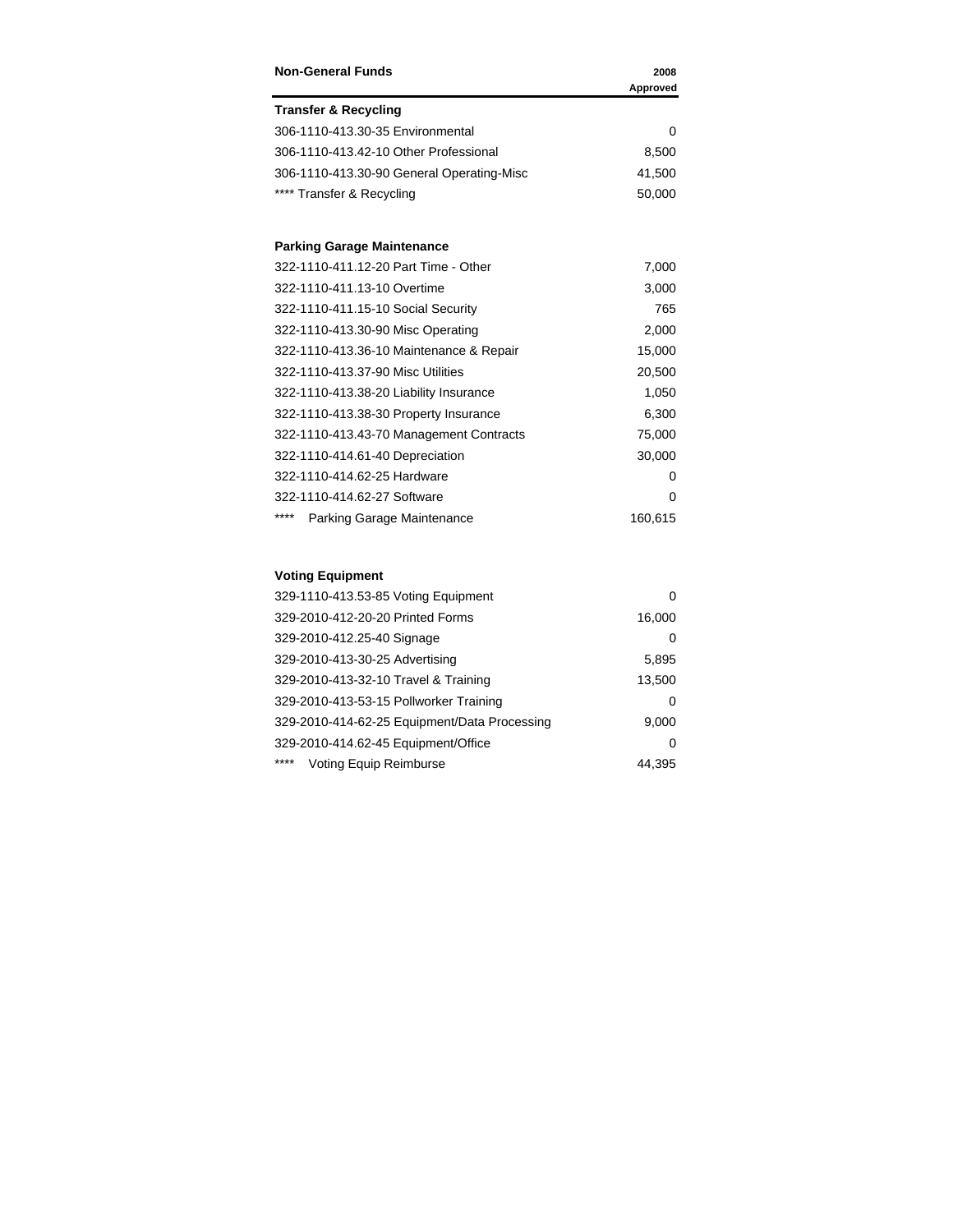| <b>Non-General Funds</b>                  | 2008     |
|-------------------------------------------|----------|
|                                           | Approved |
| <b>Transfer &amp; Recycling</b>           |          |
| 306-1110-413.30-35 Environmental          | 0        |
| 306-1110-413.42-10 Other Professional     | 8,500    |
| 306-1110-413.30-90 General Operating-Misc | 41,500   |
| **** Transfer & Recycling                 | 50,000   |
| <b>Parking Garage Maintenance</b>         |          |
| 322-1110-411.12-20 Part Time - Other      | 7,000    |
| 322-1110-411.13-10 Overtime               | 3,000    |
| 322-1110-411.15-10 Social Security        | 765      |
| 322-1110-413.30-90 Misc Operating         | 2,000    |
| 322-1110-413.36-10 Maintenance & Repair   | 15,000   |
| 322-1110-413.37-90 Misc Utilities         | 20,500   |
| 322-1110-413.38-20 Liability Insurance    | 1,050    |
| 322-1110-413.38-30 Property Insurance     | 6,300    |
| 322-1110-413.43-70 Management Contracts   | 75,000   |
| 322-1110-414.61-40 Depreciation           | 30,000   |
| 322-1110-414.62-25 Hardware               | $\Omega$ |
| 322-1110-414.62-27 Software               | 0        |
| ****<br>Parking Garage Maintenance        | 160,615  |

### **Voting Equipment**

| 329-1110-413.53-85 Voting Equipment          |        |
|----------------------------------------------|--------|
| 329-2010-412-20-20 Printed Forms             | 16,000 |
| 329-2010-412.25-40 Signage                   | O      |
| 329-2010-413-30-25 Advertising               | 5,895  |
| 329-2010-413-32-10 Travel & Training         | 13,500 |
| 329-2010-413-53-15 Pollworker Training       | 0      |
| 329-2010-414-62-25 Equipment/Data Processing | 9,000  |
| 329-2010-414.62-45 Equipment/Office          | 0      |
| ****<br>Voting Equip Reimburse               | 44.395 |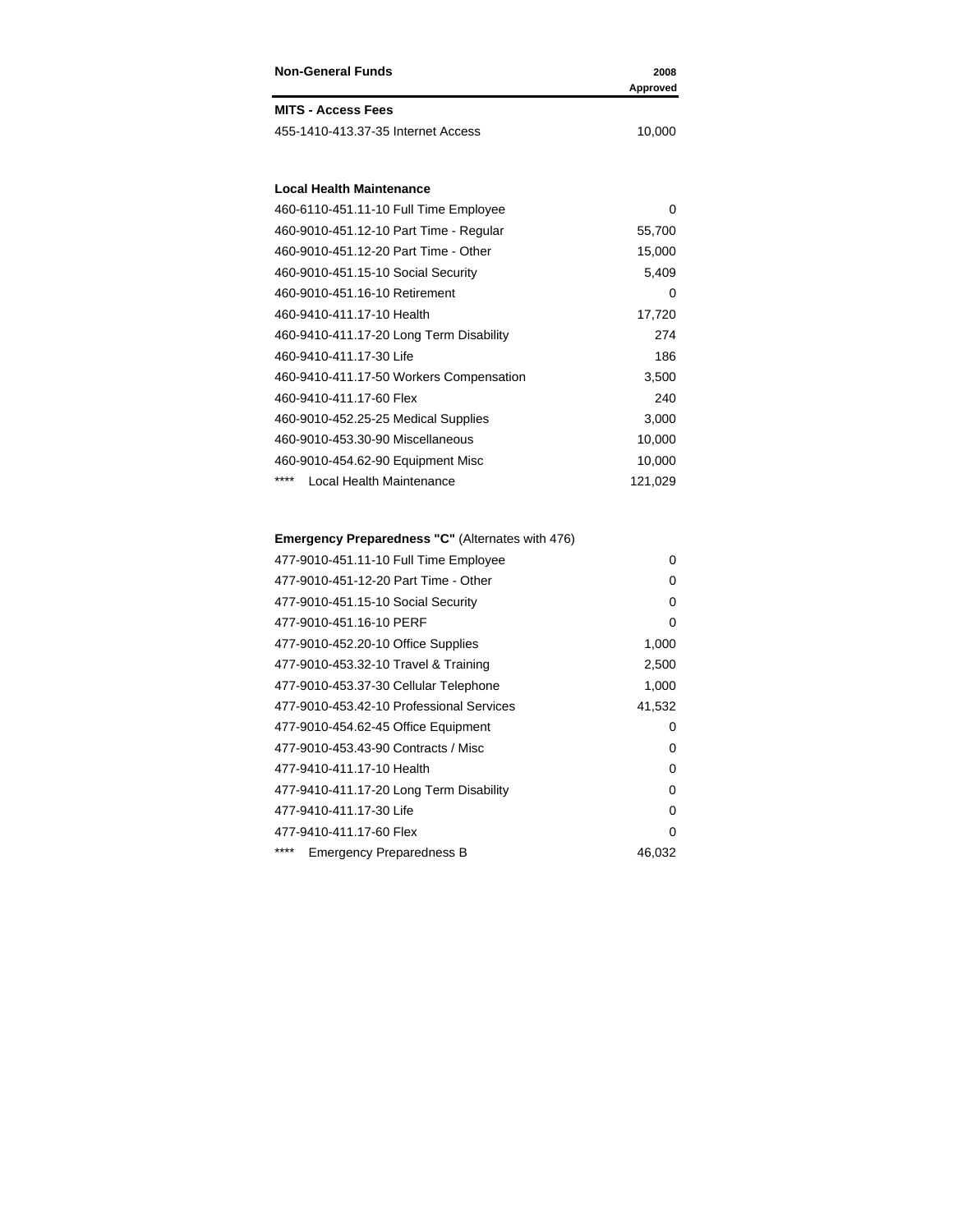| <b>Non-General Funds</b>                         | 2008<br>Approved |
|--------------------------------------------------|------------------|
| <b>MITS - Access Fees</b>                        |                  |
| 455-1410-413.37-35 Internet Access               | 10,000           |
| <b>Local Health Maintenance</b>                  |                  |
| 460-6110-451.11-10 Full Time Employee            | 0                |
| 460-9010-451.12-10 Part Time - Regular           | 55,700           |
| 460-9010-451.12-20 Part Time - Other             | 15,000           |
| 460-9010-451.15-10 Social Security               | 5,409            |
| 460-9010-451.16-10 Retirement                    | 0                |
| 460-9410-411.17-10 Health                        | 17,720           |
| 460-9410-411.17-20 Long Term Disability          | 274              |
| 460-9410-411.17-30 Life                          | 186              |
| 460-9410-411.17-50 Workers Compensation          | 3,500            |
| 460-9410-411.17-60 Flex                          | 240              |
| 460-9010-452.25-25 Medical Supplies              | 3,000            |
| 460-9010-453.30-90 Miscellaneous                 | 10,000           |
| 460-9010-454.62-90 Equipment Misc                | 10,000           |
| ****<br>Local Health Maintenance                 | 121,029          |
| Emergency Preparedness "C" (Alternates with 476) |                  |
| 477-9010-451.11-10 Full Time Employee            | 0                |
| 477-9010-451-12-20 Part Time - Other             | 0                |

| <b>HIT-3010-HUILI-101 GILILIIIG LIIIDIOVGG</b> |          |
|------------------------------------------------|----------|
| 477-9010-451-12-20 Part Time - Other           | 0        |
| 477-9010-451.15-10 Social Security             | 0        |
| 477-9010-451.16-10 PERF                        | $\Omega$ |
| 477-9010-452.20-10 Office Supplies             | 1,000    |
| 477-9010-453.32-10 Travel & Training           | 2,500    |
| 477-9010-453.37-30 Cellular Telephone          | 1,000    |
| 477-9010-453.42-10 Professional Services       | 41,532   |
| 477-9010-454.62-45 Office Equipment            | 0        |
| 477-9010-453.43-90 Contracts / Misc            | 0        |
| 477-9410-411.17-10 Health                      | 0        |
| 477-9410-411.17-20 Long Term Disability        | 0        |
| 477-9410-411.17-30 Life                        | 0        |
| 477-9410-411.17-60 Flex                        | $\Omega$ |
| ****<br><b>Emergency Preparedness B</b>        | 46,032   |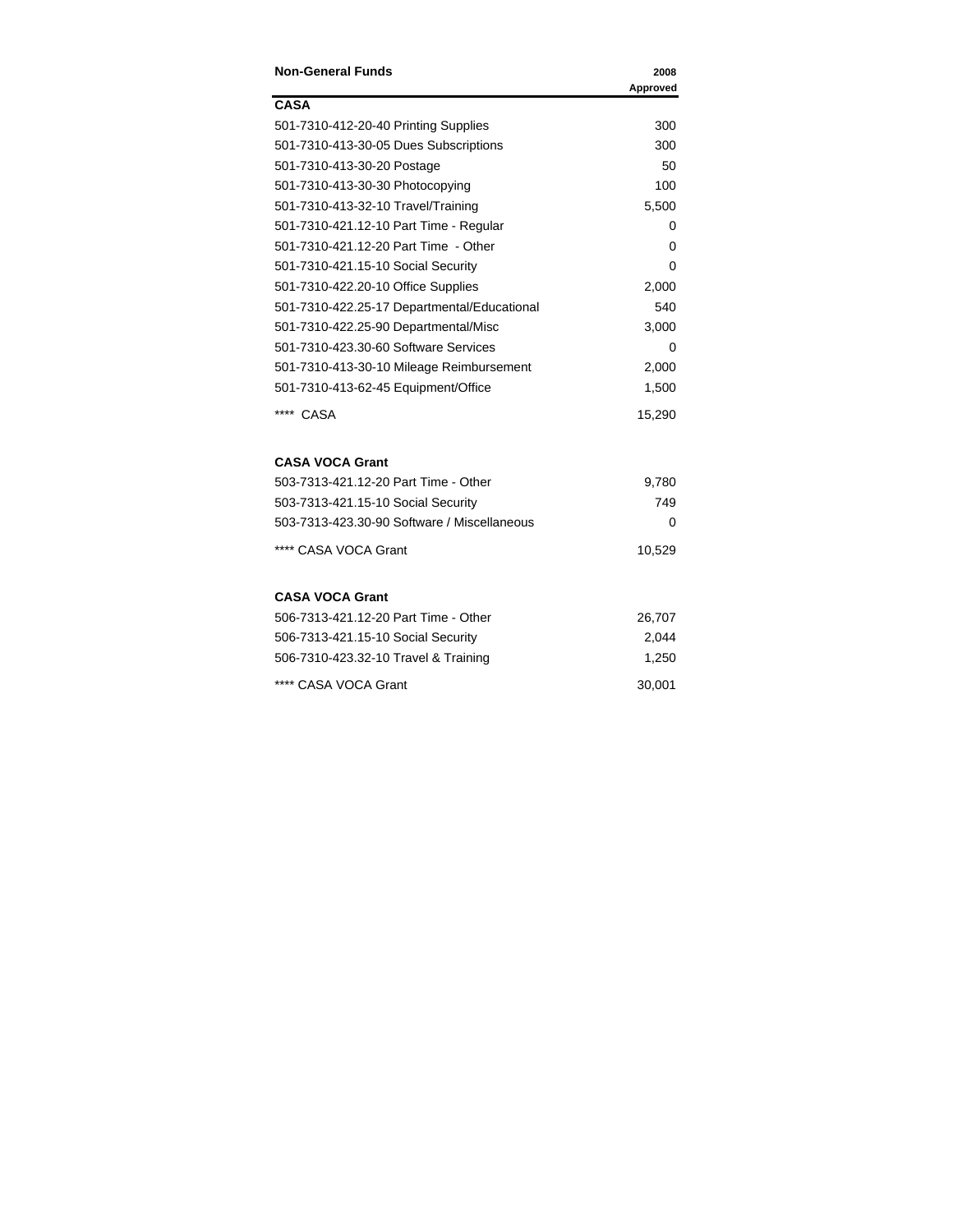| <b>Non-General Funds</b>                    | 2008<br>Approved |
|---------------------------------------------|------------------|
| <b>CASA</b>                                 |                  |
| 501-7310-412-20-40 Printing Supplies        | 300              |
| 501-7310-413-30-05 Dues Subscriptions       | 300              |
| 501-7310-413-30-20 Postage                  | 50               |
| 501-7310-413-30-30 Photocopying             | 100              |
| 501-7310-413-32-10 Travel/Training          | 5,500            |
| 501-7310-421.12-10 Part Time - Regular      | 0                |
| 501-7310-421.12-20 Part Time - Other        | 0                |
| 501-7310-421.15-10 Social Security          | 0                |
| 501-7310-422.20-10 Office Supplies          | 2,000            |
| 501-7310-422.25-17 Departmental/Educational | 540              |
| 501-7310-422.25-90 Departmental/Misc        | 3,000            |
| 501-7310-423.30-60 Software Services        | 0                |
| 501-7310-413-30-10 Mileage Reimbursement    | 2,000            |
| 501-7310-413-62-45 Equipment/Office         | 1,500            |
| **** CASA                                   | 15,290           |
| <b>CASA VOCA Grant</b>                      |                  |
| 503-7313-421.12-20 Part Time - Other        | 9,780            |
| 503-7313-421.15-10 Social Security          | 749              |
| 503-7313-423.30-90 Software / Miscellaneous | 0                |
| **** CASA VOCA Grant                        | 10,529           |
| <b>CASA VOCA Grant</b>                      |                  |
| 506-7313-421.12-20 Part Time - Other        | 26,707           |
| 506-7313-421.15-10 Social Security          | 2,044            |
| 506-7310-423.32-10 Travel & Training        | 1,250            |
| **** CASA VOCA Grant                        | 30,001           |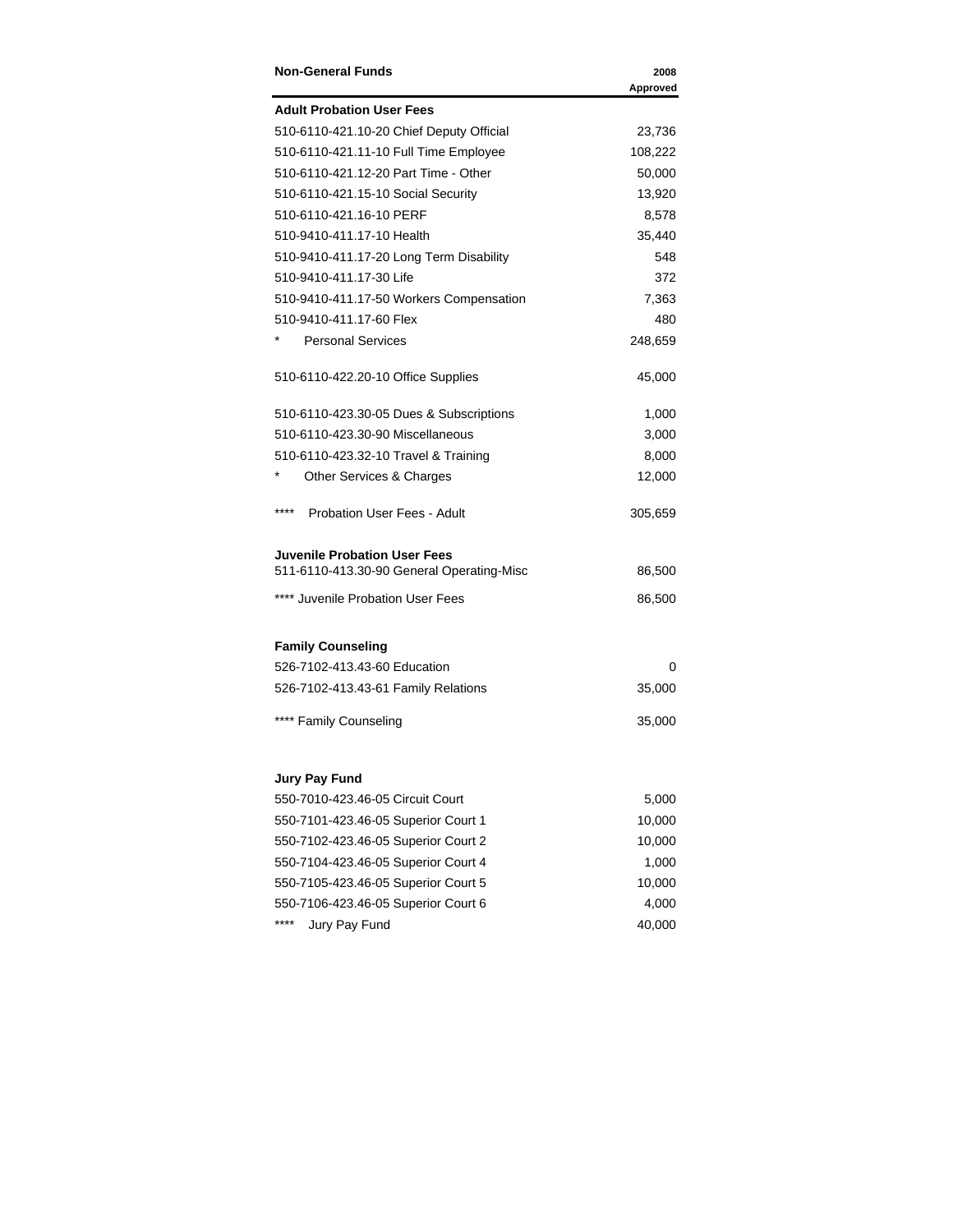| <b>Non-General Funds</b>                  | 2008<br>Approved |
|-------------------------------------------|------------------|
| <b>Adult Probation User Fees</b>          |                  |
| 510-6110-421.10-20 Chief Deputy Official  | 23,736           |
| 510-6110-421.11-10 Full Time Employee     | 108,222          |
| 510-6110-421.12-20 Part Time - Other      | 50,000           |
| 510-6110-421.15-10 Social Security        | 13,920           |
| 510-6110-421.16-10 PERF                   | 8,578            |
| 510-9410-411.17-10 Health                 | 35,440           |
| 510-9410-411.17-20 Long Term Disability   | 548              |
| 510-9410-411.17-30 Life                   | 372              |
| 510-9410-411.17-50 Workers Compensation   | 7,363            |
| 510-9410-411.17-60 Flex                   | 480              |
| <b>Personal Services</b>                  | 248,659          |
| 510-6110-422.20-10 Office Supplies        | 45,000           |
| 510-6110-423.30-05 Dues & Subscriptions   | 1,000            |
| 510-6110-423.30-90 Miscellaneous          | 3,000            |
| 510-6110-423.32-10 Travel & Training      | 8,000            |
| <b>Other Services &amp; Charges</b>       | 12,000           |
| ****<br>Probation User Fees - Adult       | 305,659          |
| Juvenile Probation User Fees              |                  |
| 511-6110-413.30-90 General Operating-Misc | 86,500           |
| **** Juvenile Probation User Fees         | 86,500           |
| <b>Family Counseling</b>                  |                  |
| 526-7102-413.43-60 Education              | 0                |
| 526-7102-413.43-61 Family Relations       | 35,000           |
| **** Family Counseling                    | 35,000           |
| <b>Jury Pay Fund</b>                      |                  |
| 550-7010-423.46-05 Circuit Court          | 5,000            |
| 550-7101-423.46-05 Superior Court 1       | 10,000           |
| 550-7102-423.46-05 Superior Court 2       | 10,000           |
| 550-7104-423.46-05 Superior Court 4       | 1,000            |
| 550-7105-423.46-05 Superior Court 5       | 10,000           |
| 550-7106-423.46-05 Superior Court 6       | 4,000            |
| ****<br>Jury Pay Fund                     | 40,000           |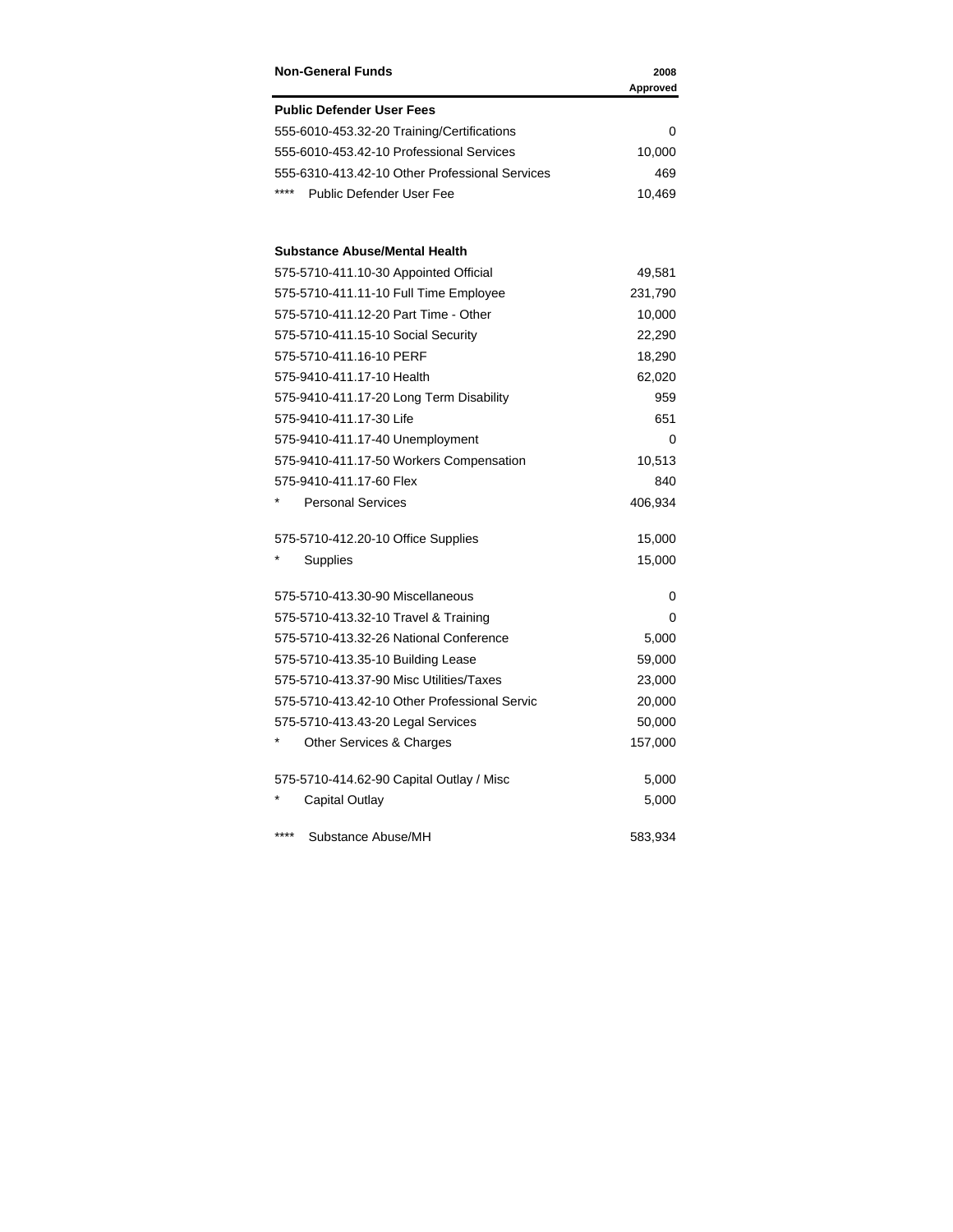| <b>Non-General Funds</b>                       | 2008<br>Approved |
|------------------------------------------------|------------------|
| <b>Public Defender User Fees</b>               |                  |
| 555-6010-453.32-20 Training/Certifications     | 0                |
| 555-6010-453.42-10 Professional Services       | 10,000           |
| 555-6310-413.42-10 Other Professional Services | 469              |
| ****<br>Public Defender User Fee               | 10,469           |
| <b>Substance Abuse/Mental Health</b>           |                  |
| 575-5710-411.10-30 Appointed Official          | 49,581           |
| 575-5710-411.11-10 Full Time Employee          | 231,790          |
| 575-5710-411.12-20 Part Time - Other           | 10,000           |
| 575-5710-411.15-10 Social Security             | 22,290           |
| 575-5710-411.16-10 PERF                        | 18,290           |
| 575-9410-411.17-10 Health                      | 62,020           |
| 575-9410-411.17-20 Long Term Disability        | 959              |
| 575-9410-411.17-30 Life                        | 651              |
| 575-9410-411.17-40 Unemployment                | 0                |
| 575-9410-411.17-50 Workers Compensation        | 10,513           |
| 575-9410-411.17-60 Flex                        | 840              |
| <b>Personal Services</b>                       | 406,934          |
| 575-5710-412.20-10 Office Supplies             | 15,000           |
| Supplies                                       | 15,000           |
| 575-5710-413.30-90 Miscellaneous               | 0                |
| 575-5710-413.32-10 Travel & Training           | 0                |
| 575-5710-413.32-26 National Conference         | 5,000            |
| 575-5710-413.35-10 Building Lease              | 59,000           |
| 575-5710-413.37-90 Misc Utilities/Taxes        | 23,000           |
| 575-5710-413.42-10 Other Professional Servic   | 20,000           |
| 575-5710-413.43-20 Legal Services              | 50,000           |
| Other Services & Charges                       | 157,000          |
| 575-5710-414.62-90 Capital Outlay / Misc       | 5,000            |
| <b>Capital Outlay</b>                          | 5,000            |
| ****<br>Substance Abuse/MH                     | 583,934          |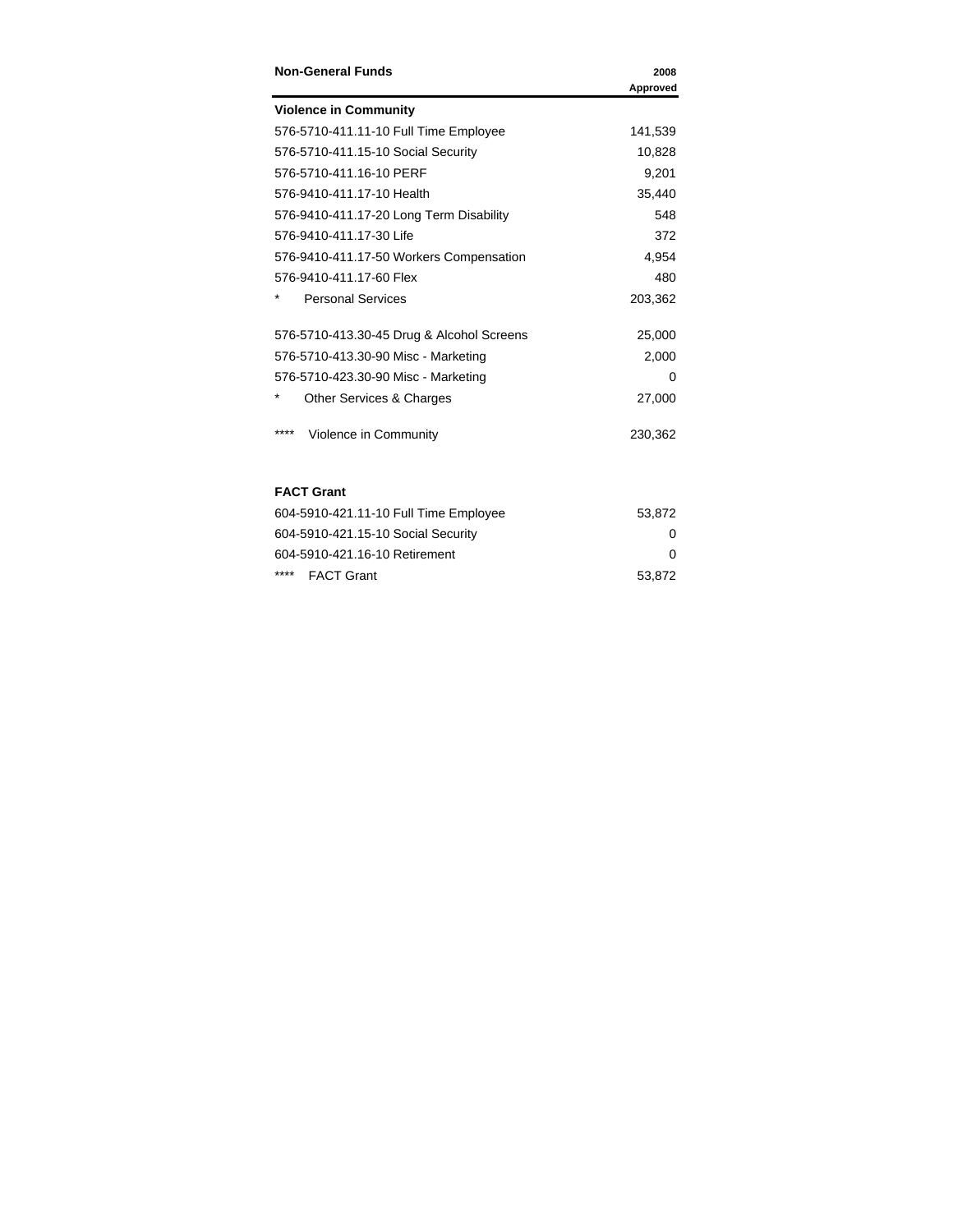| <b>Non-General Funds</b>                  | 2008     |
|-------------------------------------------|----------|
|                                           | Approved |
| <b>Violence in Community</b>              |          |
| 576-5710-411.11-10 Full Time Employee     | 141,539  |
| 576-5710-411.15-10 Social Security        | 10,828   |
| 576-5710-411.16-10 PERF                   | 9,201    |
| 576-9410-411.17-10 Health                 | 35,440   |
| 576-9410-411.17-20 Long Term Disability   | 548      |
| 576-9410-411.17-30 Life                   | 372      |
| 576-9410-411.17-50 Workers Compensation   | 4,954    |
| 576-9410-411.17-60 Flex                   | 480      |
| <b>Personal Services</b>                  | 203,362  |
| 576-5710-413.30-45 Drug & Alcohol Screens | 25,000   |
| 576-5710-413.30-90 Misc - Marketing       | 2,000    |
| 576-5710-423.30-90 Misc - Marketing       | 0        |
| Other Services & Charges                  | 27,000   |
| ****<br>Violence in Community             | 230,362  |

## **FACT Grant**

| 604-5910-421.11-10 Full Time Employee | 53.872 |
|---------------------------------------|--------|
| 604-5910-421.15-10 Social Security    | 0      |
| 604-5910-421.16-10 Retirement         | O      |
| **** FACT Grant                       | 53,872 |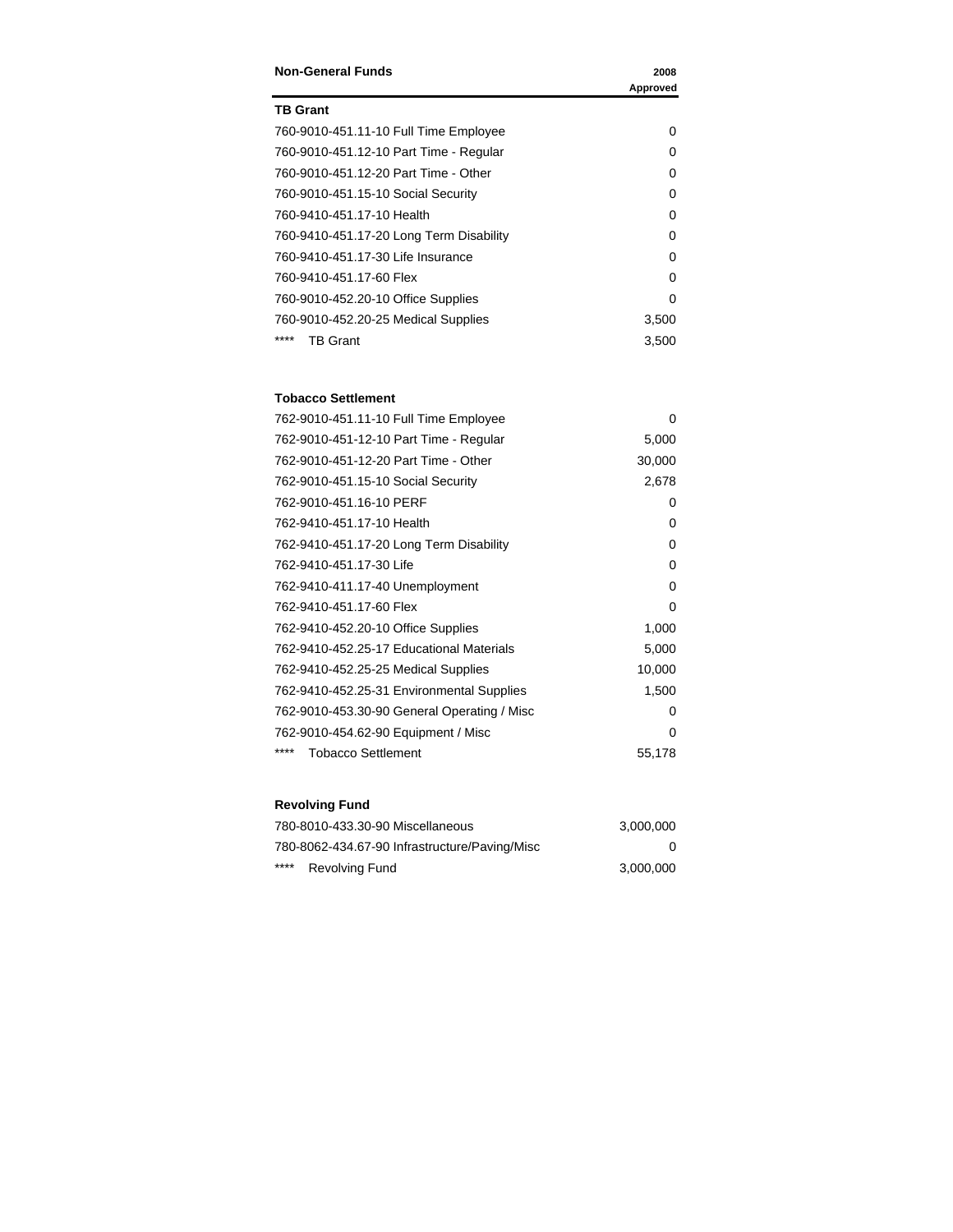| <b>Non-General Funds</b>                | 2008     |
|-----------------------------------------|----------|
|                                         | Approved |
| <b>TB Grant</b>                         |          |
| 760-9010-451.11-10 Full Time Employee   | 0        |
| 760-9010-451.12-10 Part Time - Regular  | O        |
| 760-9010-451.12-20 Part Time - Other    | O        |
| 760-9010-451.15-10 Social Security      | 0        |
| 760-9410-451.17-10 Health               | 0        |
| 760-9410-451.17-20 Long Term Disability | 0        |
| 760-9410-451.17-30 Life Insurance       | O        |
| 760-9410-451.17-60 Flex                 | O        |
| 760-9010-452.20-10 Office Supplies      | 0        |
| 760-9010-452.20-25 Medical Supplies     | 3,500    |
| ****<br>TB Grant                        | 3,500    |

#### **Tobacco Settlement**

| 762-9010-451.11-10 Full Time Employee       | $\Omega$ |
|---------------------------------------------|----------|
| 762-9010-451-12-10 Part Time - Regular      | 5,000    |
| 762-9010-451-12-20 Part Time - Other        | 30,000   |
| 762-9010-451.15-10 Social Security          | 2,678    |
| 762-9010-451.16-10 PERF                     | 0        |
| 762-9410-451.17-10 Health                   | 0        |
| 762-9410-451.17-20 Long Term Disability     | 0        |
| 762-9410-451.17-30 Life                     | 0        |
| 762-9410-411.17-40 Unemployment             | 0        |
| 762-9410-451.17-60 Flex                     | 0        |
| 762-9410-452.20-10 Office Supplies          | 1,000    |
| 762-9410-452.25-17 Educational Materials    | 5,000    |
| 762-9410-452.25-25 Medical Supplies         | 10,000   |
| 762-9410-452.25-31 Environmental Supplies   | 1,500    |
| 762-9010-453.30-90 General Operating / Misc | 0        |
| 762-9010-454.62-90 Equipment / Misc         | $\Omega$ |
| ****<br><b>Tobacco Settlement</b>           | 55,178   |

# **Revolving Fund**

| 780-8010-433.30-90 Miscellaneous              | 3.000.000 |
|-----------------------------------------------|-----------|
| 780-8062-434.67-90 Infrastructure/Paving/Misc | 0         |
| ****<br><b>Revolving Fund</b>                 | 3.000.000 |